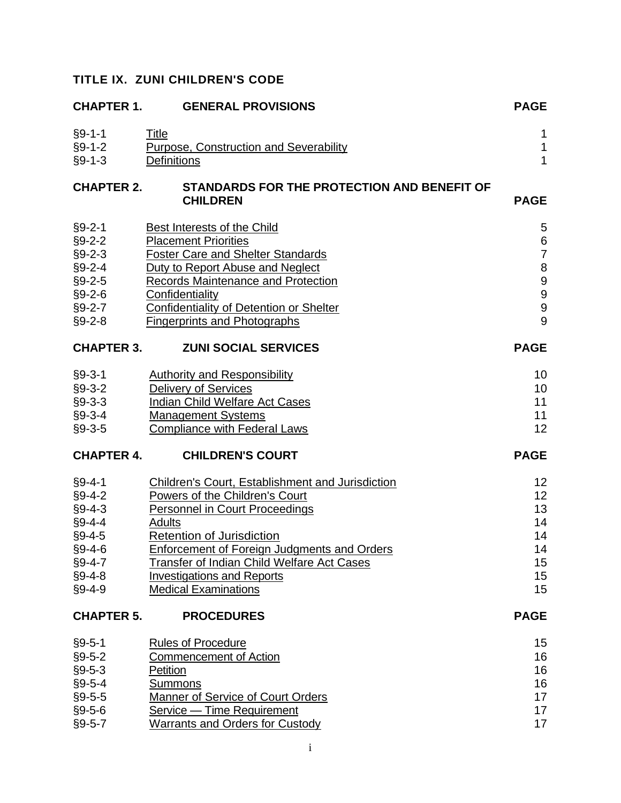# **TITLE IX. ZUNI CHILDREN'S CODE**

| <b>CHAPTER 1.</b> | <b>GENERAL PROVISIONS</b>                                      | <b>PAGE</b>                           |
|-------------------|----------------------------------------------------------------|---------------------------------------|
| $§9 - 1 - 1$      | Title                                                          | 1                                     |
| $§9-1-2$          | Purpose, Construction and Severability                         | $\mathbf 1$                           |
| $§9 - 1 - 3$      | Definitions                                                    | $\mathbf{1}$                          |
| <b>CHAPTER 2.</b> | STANDARDS FOR THE PROTECTION AND BENEFIT OF<br><b>CHILDREN</b> | <b>PAGE</b>                           |
| $§9 - 2 - 1$      | Best Interests of the Child                                    | 5                                     |
| $§9 - 2 - 2$      | <b>Placement Priorities</b>                                    | $\begin{array}{c} 6 \\ 7 \end{array}$ |
| $§9 - 2 - 3$      | <b>Foster Care and Shelter Standards</b>                       |                                       |
| $§9 - 2 - 4$      | Duty to Report Abuse and Neglect                               | 8999                                  |
| $§9 - 2 - 5$      | <b>Records Maintenance and Protection</b>                      |                                       |
| $§9 - 2 - 6$      | Confidentiality                                                |                                       |
| $§9 - 2 - 7$      | <b>Confidentiality of Detention or Shelter</b>                 |                                       |
| $§9 - 2 - 8$      | <b>Fingerprints and Photographs</b>                            | 9                                     |
| <b>CHAPTER 3.</b> | <b>ZUNI SOCIAL SERVICES</b>                                    | <b>PAGE</b>                           |
| $§9 - 3 - 1$      | <b>Authority and Responsibility</b>                            | 10                                    |
| $§9 - 3 - 2$      | <b>Delivery of Services</b>                                    | 10                                    |
| $§9 - 3 - 3$      | <b>Indian Child Welfare Act Cases</b>                          | 11                                    |
| $§9 - 3 - 4$      | <b>Management Systems</b>                                      | 11                                    |
| $§9 - 3 - 5$      | <b>Compliance with Federal Laws</b>                            | 12                                    |
| <b>CHAPTER 4.</b> | <b>CHILDREN'S COURT</b>                                        | <b>PAGE</b>                           |
| $§9 - 4 - 1$      | <b>Children's Court, Establishment and Jurisdiction</b>        | 12                                    |
| $§9 - 4 - 2$      | Powers of the Children's Court                                 | 12                                    |
| $§9 - 4 - 3$      | <b>Personnel in Court Proceedings</b>                          | 13                                    |
| $§9 - 4 - 4$      | <b>Adults</b>                                                  | 14                                    |
| $§9 - 4 - 5$      | <b>Retention of Jurisdiction</b>                               | 14                                    |
| $§9 - 4 - 6$      | <b>Enforcement of Foreign Judgments and Orders</b>             | 14                                    |
| $§9 - 4 - 7$      | Transfer of Indian Child Welfare Act Cases                     | 15                                    |
| $§9 - 4 - 8$      | <b>Investigations and Reports</b>                              | 15                                    |
| $§9 - 4 - 9$      | <b>Medical Examinations</b>                                    | 15                                    |
| <b>CHAPTER 5.</b> | <b>PROCEDURES</b>                                              | <b>PAGE</b>                           |
| $§9 - 5 - 1$      | <b>Rules of Procedure</b>                                      | 15                                    |
| $§9 - 5 - 2$      | <b>Commencement of Action</b>                                  | 16                                    |
| $§9 - 5 - 3$      | Petition                                                       | 16                                    |
| $§9 - 5 - 4$      | Summons                                                        | 16                                    |
| $§9 - 5 - 5$      | <b>Manner of Service of Court Orders</b>                       | 17                                    |
| $§9 - 5 - 6$      | Service - Time Requirement                                     | 17                                    |
| $§9 - 5 - 7$      | <b>Warrants and Orders for Custody</b>                         | 17                                    |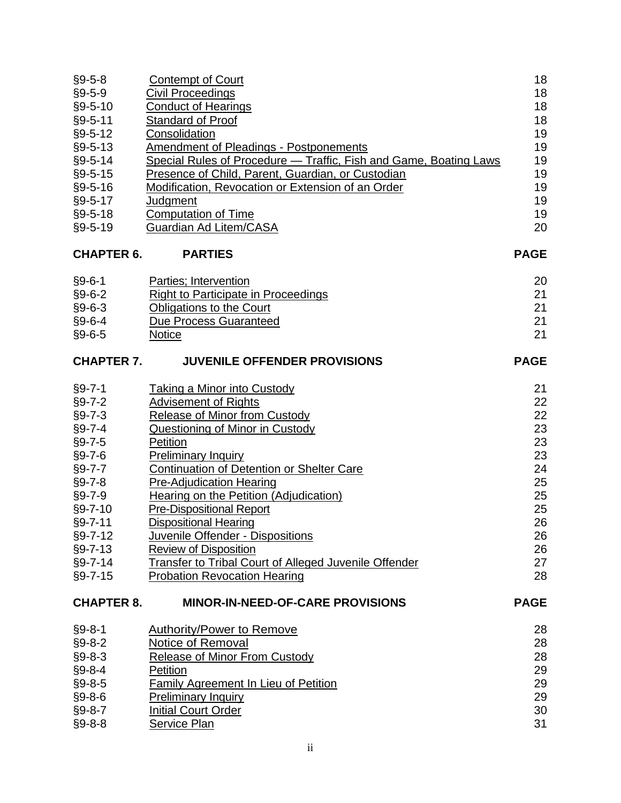| $§9 - 5 - 8$      | <b>Contempt of Court</b>                                          | 18          |
|-------------------|-------------------------------------------------------------------|-------------|
| $§9 - 5 - 9$      | <b>Civil Proceedings</b>                                          | 18          |
| $§9 - 5 - 10$     | <b>Conduct of Hearings</b>                                        | 18          |
| §9-5-11           | Standard of Proof                                                 | 18          |
| $§9 - 5 - 12$     | Consolidation                                                     | 19          |
| $§9 - 5 - 13$     | <b>Amendment of Pleadings - Postponements</b>                     | 19          |
| $§9 - 5 - 14$     | Special Rules of Procedure - Traffic, Fish and Game, Boating Laws | 19          |
| $§9 - 5 - 15$     | Presence of Child, Parent, Guardian, or Custodian                 | 19          |
| $§9 - 5 - 16$     | Modification, Revocation or Extension of an Order                 | 19          |
| $§9 - 5 - 17$     | Judgment                                                          | 19          |
| $§9 - 5 - 18$     | <b>Computation of Time</b>                                        | 19          |
| $§9 - 5 - 19$     | Guardian Ad Litem/CASA                                            | 20          |
| <b>CHAPTER 6.</b> | <b>PARTIES</b>                                                    | <b>PAGE</b> |
| $§9 - 6 - 1$      | Parties; Intervention                                             | 20          |
| $§9 - 6 - 2$      | <b>Right to Participate in Proceedings</b>                        | 21          |
| $§9 - 6 - 3$      | Obligations to the Court                                          | 21          |
| $§9 - 6 - 4$      | <b>Due Process Guaranteed</b>                                     | 21          |
| $§9 - 6 - 5$      | <b>Notice</b>                                                     | 21          |
| <b>CHAPTER 7.</b> | <b>JUVENILE OFFENDER PROVISIONS</b>                               | <b>PAGE</b> |
| $§9 - 7 - 1$      | <b>Taking a Minor into Custody</b>                                | 21          |
| $§9 - 7 - 2$      | <b>Advisement of Rights</b>                                       | 22          |
| $§9 - 7 - 3$      | <b>Release of Minor from Custody</b>                              | 22          |
| $§9 - 7 - 4$      | Questioning of Minor in Custody                                   | 23          |
| $§9 - 7 - 5$      | Petition                                                          | 23          |
| $§9 - 7 - 6$      | <b>Preliminary Inquiry</b>                                        | 23          |
| $§9 - 7 - 7$      | Continuation of Detention or Shelter Care                         | 24          |
| $§9 - 7 - 8$      | <b>Pre-Adjudication Hearing</b>                                   | 25          |
| $§9 - 7 - 9$      | Hearing on the Petition (Adjudication)                            | 25          |
| $§9 - 7 - 10$     | <b>Pre-Dispositional Report</b>                                   | 25          |
| §9-7-11           | <b>Dispositional Hearing</b>                                      | 26          |
| §9-7-12           | Juvenile Offender - Dispositions                                  | 26          |
| $§9 - 7 - 13$     | <b>Review of Disposition</b>                                      | 26          |
| $§9 - 7 - 14$     | Transfer to Tribal Court of Alleged Juvenile Offender             | 27          |
| $§9 - 7 - 15$     | <b>Probation Revocation Hearing</b>                               | 28          |
| <b>CHAPTER 8.</b> | <b>MINOR-IN-NEED-OF-CARE PROVISIONS</b>                           | <b>PAGE</b> |
| $§9 - 8 - 1$      | <b>Authority/Power to Remove</b>                                  | 28          |
| $§9 - 8 - 2$      | Notice of Removal                                                 | 28          |
| $§9 - 8 - 3$      | <b>Release of Minor From Custody</b>                              | 28          |
| $§9 - 8 - 4$      | Petition                                                          | 29          |
| $§9 - 8 - 5$      | <b>Family Agreement In Lieu of Petition</b>                       | 29          |
| $§9 - 8 - 6$      | <b>Preliminary Inquiry</b>                                        | 29          |
| $§9 - 8 - 7$      | <b>Initial Court Order</b>                                        | 30          |
| $§9 - 8 - 8$      | Service Plan                                                      | 31          |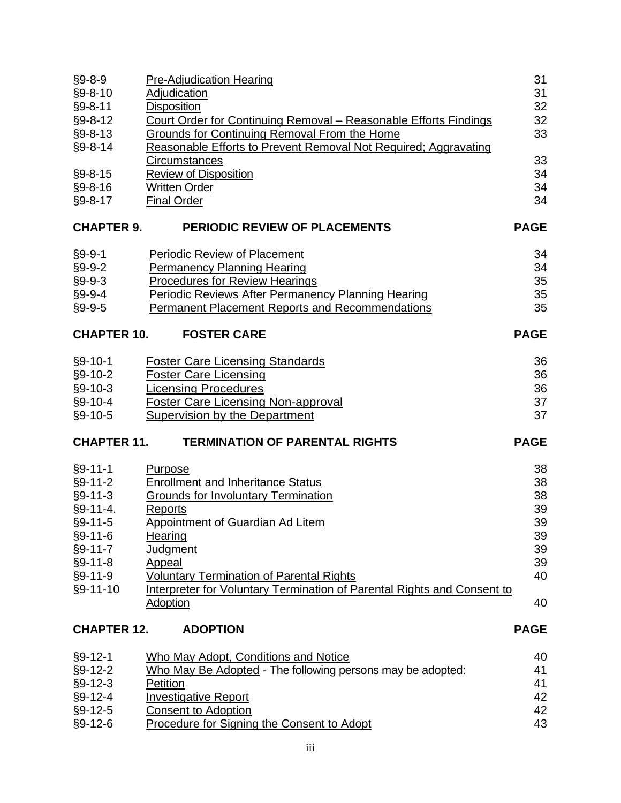| $§9 - 8 - 9$               | <b>Pre-Adjudication Hearing</b>                                                   | 31          |
|----------------------------|-----------------------------------------------------------------------------------|-------------|
| $§9 - 8 - 10$              | <b>Adjudication</b>                                                               | 31          |
| §9-8-11                    | <b>Disposition</b>                                                                | 32          |
| $§9 - 8 - 12$              | Court Order for Continuing Removal - Reasonable Efforts Findings                  | 32          |
| $§9 - 8 - 13$              | Grounds for Continuing Removal From the Home                                      | 33          |
| $§9 - 8 - 14$              | Reasonable Efforts to Prevent Removal Not Required; Aggravating                   |             |
|                            | <b>Circumstances</b>                                                              | 33          |
| $§9 - 8 - 15$              | <b>Review of Disposition</b>                                                      | 34          |
| $§9 - 8 - 16$              | <b>Written Order</b>                                                              | 34          |
| $§9 - 8 - 17$              | <b>Final Order</b>                                                                | 34          |
| <b>CHAPTER 9.</b>          | <b>PERIODIC REVIEW OF PLACEMENTS</b>                                              | <b>PAGE</b> |
|                            | Periodic Review of Placement                                                      | 34          |
| $§9 - 9 - 1$               |                                                                                   | 34          |
| $§9 - 9 - 2$               | <b>Permanency Planning Hearing</b><br><b>Procedures for Review Hearings</b>       | 35          |
| $§9 - 9 - 3$               |                                                                                   |             |
| $§9 - 9 - 4$               | Periodic Reviews After Permanency Planning Hearing                                | 35          |
| $§9 - 9 - 5$               | <b>Permanent Placement Reports and Recommendations</b>                            | 35          |
| <b>CHAPTER 10.</b>         | <b>FOSTER CARE</b>                                                                | <b>PAGE</b> |
| $§9 - 10 - 1$              | <b>Foster Care Licensing Standards</b>                                            | 36          |
| $§9 - 10 - 2$              | <b>Foster Care Licensing</b>                                                      | 36          |
| $§9 - 10 - 3$              | <b>Licensing Procedures</b>                                                       | 36          |
| $§9 - 10 - 4$              |                                                                                   |             |
|                            |                                                                                   |             |
| $§9 - 10 - 5$              | <b>Foster Care Licensing Non-approval</b><br><b>Supervision by the Department</b> | 37<br>37    |
| <b>CHAPTER 11.</b>         | <b>TERMINATION OF PARENTAL RIGHTS</b>                                             | <b>PAGE</b> |
|                            |                                                                                   |             |
| $§9 - 11 - 1$              | Purpose                                                                           | 38          |
| $§9 - 11 - 2$              | <b>Enrollment and Inheritance Status</b>                                          | 38          |
| $§9 - 11 - 3$              | <b>Grounds for Involuntary Termination</b>                                        | 38          |
| $§9-11-4.$                 | <b>Reports</b>                                                                    | 39          |
| §9-11-5                    | <b>Appointment of Guardian Ad Litem</b>                                           | 39          |
| $§9-11-6$                  | Hearing                                                                           | 39          |
| $§9-11-7$                  | <b>Judgment</b>                                                                   | 39          |
| $§9-11-8$                  | Appeal                                                                            | 39          |
| §9-11-9                    | <b>Voluntary Termination of Parental Rights</b>                                   | 40          |
| §9-11-10                   | Interpreter for Voluntary Termination of Parental Rights and Consent to           |             |
|                            | <b>Adoption</b>                                                                   | 40          |
| <b>CHAPTER 12.</b>         | <b>ADOPTION</b>                                                                   | <b>PAGE</b> |
| $§9-12-1$                  | <b>Who May Adopt, Conditions and Notice</b>                                       | 40          |
| $§9-12-2$                  | Who May Be Adopted - The following persons may be adopted:                        | 41          |
| $§9-12-3$                  | Petition                                                                          | 41          |
| $§9-12-4$                  | <b>Investigative Report</b>                                                       | 42          |
| $§9-12-5$<br>$§9 - 12 - 6$ | <b>Consent to Adoption</b><br>Procedure for Signing the Consent to Adopt          | 42<br>43    |

iii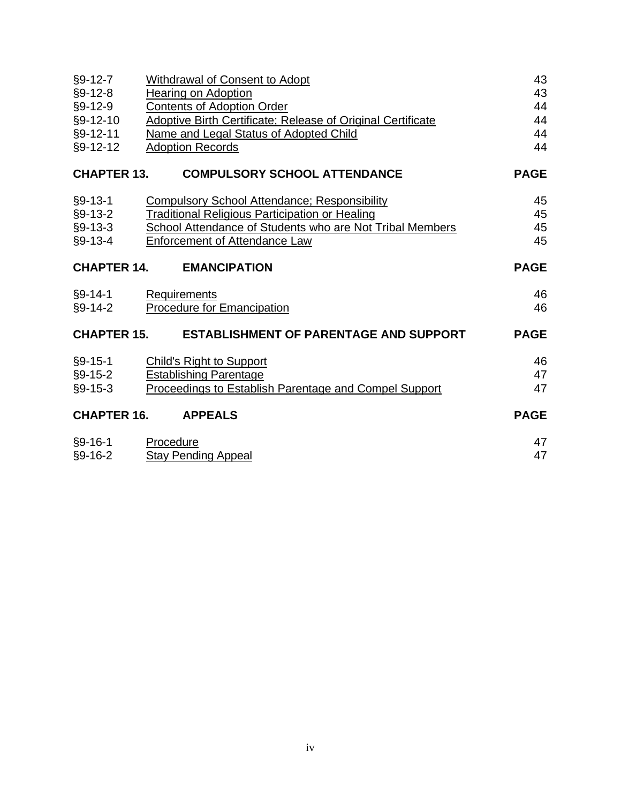| $§9-12-7$          | <b>Withdrawal of Consent to Adopt</b>                              | 43          |
|--------------------|--------------------------------------------------------------------|-------------|
| $§9-12-8$          | Hearing on Adoption                                                | 43          |
| $§9-12-9$          | <b>Contents of Adoption Order</b>                                  | 44          |
| §9-12-10           | <b>Adoptive Birth Certificate; Release of Original Certificate</b> | 44          |
| §9-12-11           | Name and Legal Status of Adopted Child                             | 44          |
| §9-12-12           | <b>Adoption Records</b>                                            | 44          |
| <b>CHAPTER 13.</b> | <b>COMPULSORY SCHOOL ATTENDANCE</b>                                | <b>PAGE</b> |
| $§9 - 13 - 1$      | <b>Compulsory School Attendance; Responsibility</b>                | 45          |
| $§9-13-2$          | <b>Traditional Religious Participation or Healing</b>              | 45          |
| $§9-13-3$          | School Attendance of Students who are Not Tribal Members           | 45          |
| $§9-13-4$          | Enforcement of Attendance Law                                      | 45          |
| <b>CHAPTER 14.</b> | <b>EMANCIPATION</b>                                                | <b>PAGE</b> |
| §9-14-1            | Requirements                                                       | 46          |
| $§9-14-2$          | <b>Procedure for Emancipation</b>                                  | 46          |
| <b>CHAPTER 15.</b> | <b>ESTABLISHMENT OF PARENTAGE AND SUPPORT</b>                      | <b>PAGE</b> |
| $§9-15-1$          | <b>Child's Right to Support</b>                                    | 46          |
| $§9-15-2$          | <b>Establishing Parentage</b>                                      | 47          |
| $§9-15-3$          | Proceedings to Establish Parentage and Compel Support              | 47          |
| <b>CHAPTER 16.</b> | <b>APPEALS</b>                                                     | <b>PAGE</b> |
| $§9-16-1$          | Procedure                                                          | 47          |
| $§9 - 16 - 2$      | <b>Stay Pending Appeal</b>                                         | 47          |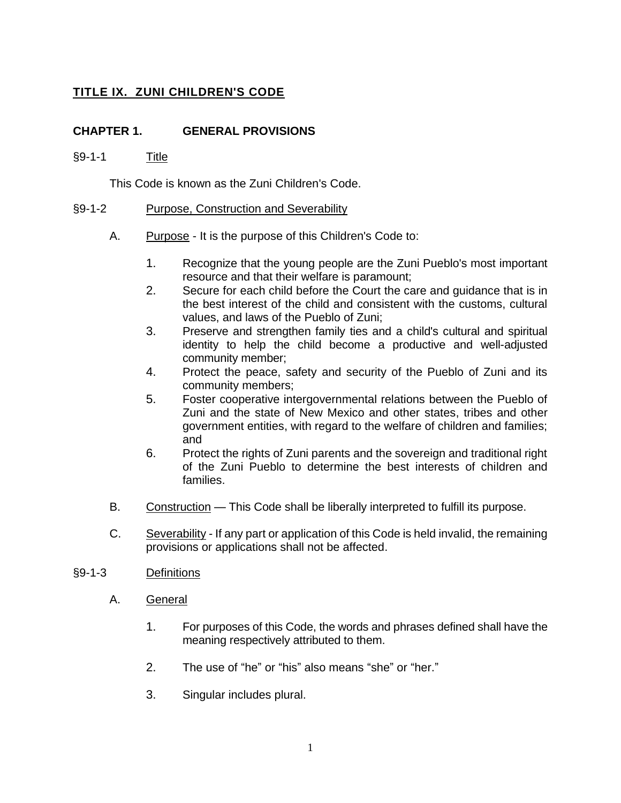# **TITLE IX. ZUNI CHILDREN'S CODE**

## **CHAPTER 1. GENERAL PROVISIONS**

## §9-1-1 Title

This Code is known as the Zuni Children's Code.

#### §9-1-2 Purpose, Construction and Severability

- A. Purpose It is the purpose of this Children's Code to:
	- 1. Recognize that the young people are the Zuni Pueblo's most important resource and that their welfare is paramount;
	- 2. Secure for each child before the Court the care and guidance that is in the best interest of the child and consistent with the customs, cultural values, and laws of the Pueblo of Zuni;
	- 3. Preserve and strengthen family ties and a child's cultural and spiritual identity to help the child become a productive and well-adjusted community member;
	- 4. Protect the peace, safety and security of the Pueblo of Zuni and its community members;
	- 5. Foster cooperative intergovernmental relations between the Pueblo of Zuni and the state of New Mexico and other states, tribes and other government entities, with regard to the welfare of children and families; and
	- 6. Protect the rights of Zuni parents and the sovereign and traditional right of the Zuni Pueblo to determine the best interests of children and families.
- B. Construction This Code shall be liberally interpreted to fulfill its purpose.
- C. Severability If any part or application of this Code is held invalid, the remaining provisions or applications shall not be affected.

#### §9-1-3 Definitions

- A. General
	- 1. For purposes of this Code, the words and phrases defined shall have the meaning respectively attributed to them.
	- 2. The use of "he" or "his" also means "she" or "her."
	- 3. Singular includes plural.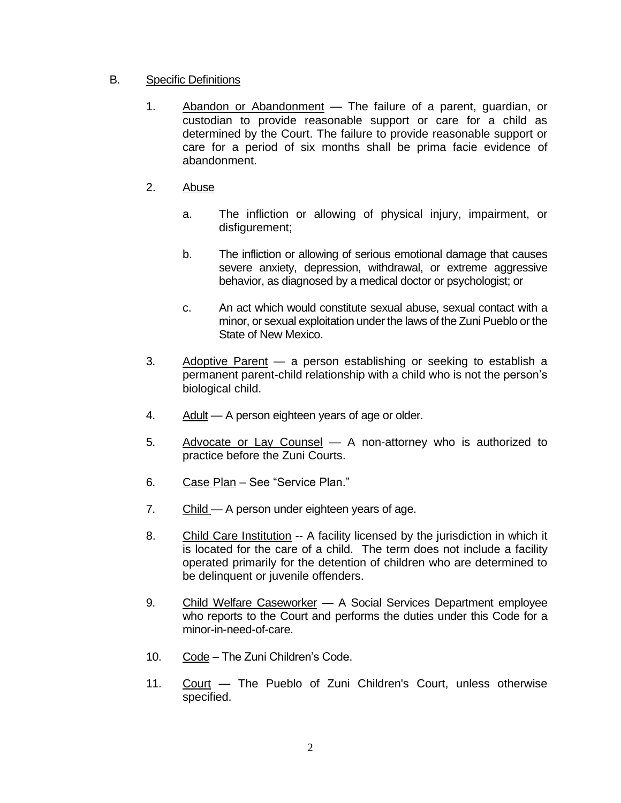## B. Specific Definitions

- 1. Abandon or Abandonment The failure of a parent, guardian, or custodian to provide reasonable support or care for a child as determined by the Court. The failure to provide reasonable support or care for a period of six months shall be prima facie evidence of abandonment.
- 2. Abuse
	- a. The infliction or allowing of physical injury, impairment, or disfigurement;
	- b. The infliction or allowing of serious emotional damage that causes severe anxiety, depression, withdrawal, or extreme aggressive behavior, as diagnosed by a medical doctor or psychologist; or
	- c. An act which would constitute sexual abuse, sexual contact with a minor, or sexual exploitation under the laws of the Zuni Pueblo or the State of New Mexico.
- 3. Adoptive Parent a person establishing or seeking to establish a permanent parent-child relationship with a child who is not the person's biological child.
- 4. Adult A person eighteen years of age or older.
- 5. Advocate or Lay Counsel A non-attorney who is authorized to practice before the Zuni Courts.
- 6. Case Plan See "Service Plan."
- 7. Child A person under eighteen years of age.
- 8. Child Care Institution -- A facility licensed by the jurisdiction in which it is located for the care of a child. The term does not include a facility operated primarily for the detention of children who are determined to be delinquent or juvenile offenders.
- 9. Child Welfare Caseworker A Social Services Department employee who reports to the Court and performs the duties under this Code for a minor-in-need-of-care.
- 10. Code The Zuni Children's Code.
- 11. Court The Pueblo of Zuni Children's Court, unless otherwise specified.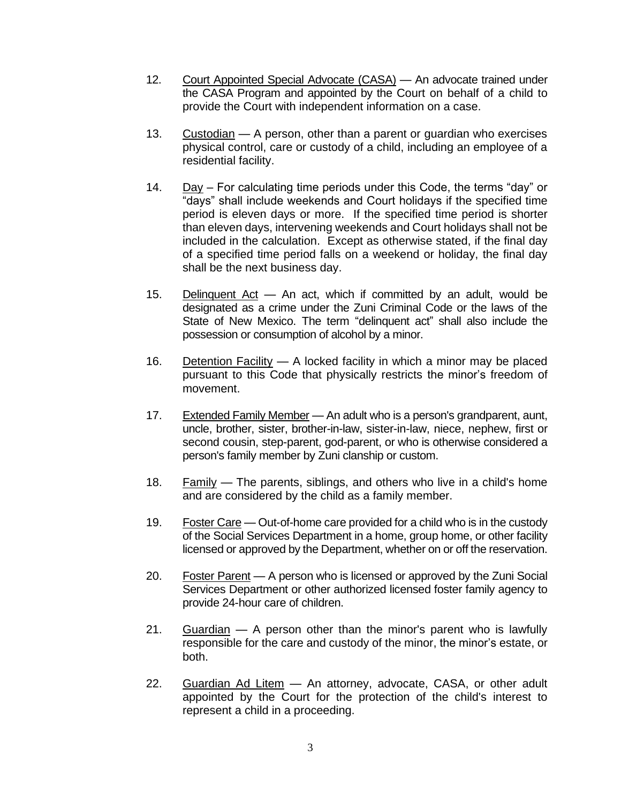- 12. Court Appointed Special Advocate (CASA) An advocate trained under the CASA Program and appointed by the Court on behalf of a child to provide the Court with independent information on a case.
- 13. Custodian A person, other than a parent or guardian who exercises physical control, care or custody of a child, including an employee of a residential facility.
- 14. Day For calculating time periods under this Code, the terms "day" or "days" shall include weekends and Court holidays if the specified time period is eleven days or more. If the specified time period is shorter than eleven days, intervening weekends and Court holidays shall not be included in the calculation. Except as otherwise stated, if the final day of a specified time period falls on a weekend or holiday, the final day shall be the next business day.
- 15. Delinquent Act An act, which if committed by an adult, would be designated as a crime under the Zuni Criminal Code or the laws of the State of New Mexico. The term "delinquent act" shall also include the possession or consumption of alcohol by a minor.
- 16. Detention Facility A locked facility in which a minor may be placed pursuant to this Code that physically restricts the minor's freedom of movement.
- 17. Extended Family Member An adult who is a person's grandparent, aunt, uncle, brother, sister, brother-in-law, sister-in-law, niece, nephew, first or second cousin, step-parent, god-parent, or who is otherwise considered a person's family member by Zuni clanship or custom.
- 18. Family The parents, siblings, and others who live in a child's home and are considered by the child as a family member.
- 19. Foster Care Out-of-home care provided for a child who is in the custody of the Social Services Department in a home, group home, or other facility licensed or approved by the Department, whether on or off the reservation.
- 20. Foster Parent A person who is licensed or approved by the Zuni Social Services Department or other authorized licensed foster family agency to provide 24-hour care of children.
- 21. Guardian A person other than the minor's parent who is lawfully responsible for the care and custody of the minor, the minor's estate, or both.
- 22. Guardian Ad Litem An attorney, advocate, CASA, or other adult appointed by the Court for the protection of the child's interest to represent a child in a proceeding.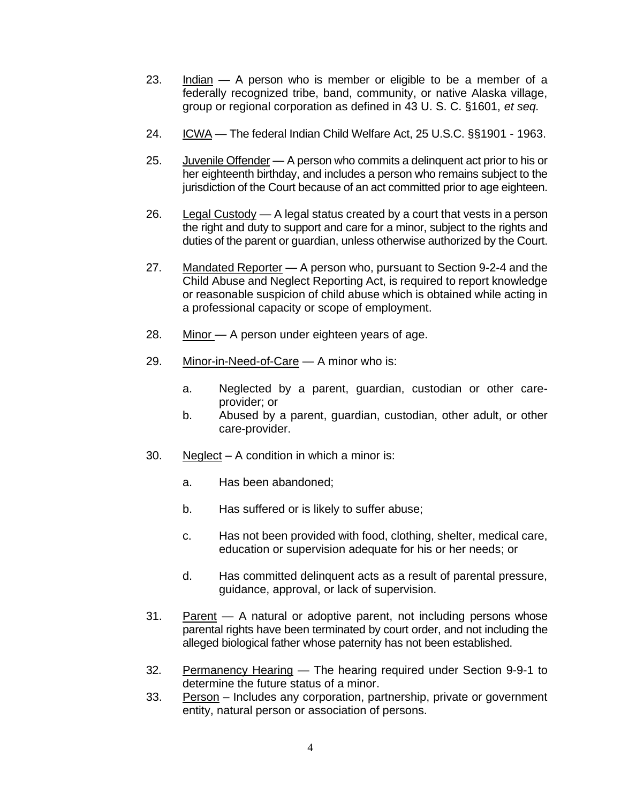- 23. Indian A person who is member or eligible to be a member of a federally recognized tribe, band, community, or native Alaska village, group or regional corporation as defined in 43 U. S. C. §1601, *et seq.*
- 24. ICWA The federal Indian Child Welfare Act, 25 U.S.C. §§1901 1963.
- 25. Juvenile Offender A person who commits a delinquent act prior to his or her eighteenth birthday, and includes a person who remains subject to the jurisdiction of the Court because of an act committed prior to age eighteen.
- 26. Legal Custody A legal status created by a court that vests in a person the right and duty to support and care for a minor, subject to the rights and duties of the parent or guardian, unless otherwise authorized by the Court.
- 27. Mandated Reporter A person who, pursuant to Section 9-2-4 and the Child Abuse and Neglect Reporting Act, is required to report knowledge or reasonable suspicion of child abuse which is obtained while acting in a professional capacity or scope of employment.
- 28. Minor A person under eighteen years of age.
- 29. Minor-in-Need-of-Care A minor who is:
	- a. Neglected by a parent, guardian, custodian or other careprovider; or
	- b. Abused by a parent, guardian, custodian, other adult, or other care-provider.
- 30. Neglect A condition in which a minor is:
	- a. Has been abandoned;
	- b. Has suffered or is likely to suffer abuse;
	- c. Has not been provided with food, clothing, shelter, medical care, education or supervision adequate for his or her needs; or
	- d. Has committed delinquent acts as a result of parental pressure, guidance, approval, or lack of supervision.
- 31. Parent A natural or adoptive parent, not including persons whose parental rights have been terminated by court order, and not including the alleged biological father whose paternity has not been established.
- 32. Permanency Hearing The hearing required under Section 9-9-1 to determine the future status of a minor.
- 33. Person Includes any corporation, partnership, private or government entity, natural person or association of persons.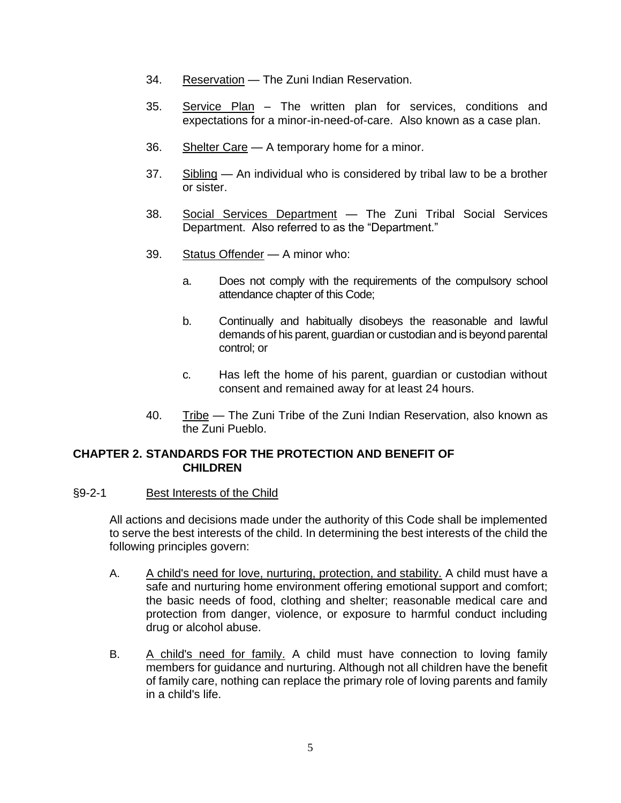- 34. Reservation The Zuni Indian Reservation.
- 35. Service Plan The written plan for services, conditions and expectations for a minor-in-need-of-care. Also known as a case plan.
- 36. Shelter Care A temporary home for a minor.
- 37. Sibling An individual who is considered by tribal law to be a brother or sister.
- 38. Social Services Department The Zuni Tribal Social Services Department. Also referred to as the "Department."
- 39. Status Offender A minor who:
	- a. Does not comply with the requirements of the compulsory school attendance chapter of this Code;
	- b. Continually and habitually disobeys the reasonable and lawful demands of his parent, guardian or custodian and is beyond parental control; or
	- c. Has left the home of his parent, guardian or custodian without consent and remained away for at least 24 hours.
- 40. Tribe The Zuni Tribe of the Zuni Indian Reservation, also known as the Zuni Pueblo.

### **CHAPTER 2. STANDARDS FOR THE PROTECTION AND BENEFIT OF CHILDREN**

#### §9-2-1 Best Interests of the Child

All actions and decisions made under the authority of this Code shall be implemented to serve the best interests of the child. In determining the best interests of the child the following principles govern:

- A. A child's need for love, nurturing, protection, and stability. A child must have a safe and nurturing home environment offering emotional support and comfort; the basic needs of food, clothing and shelter; reasonable medical care and protection from danger, violence, or exposure to harmful conduct including drug or alcohol abuse.
- B. A child's need for family. A child must have connection to loving family members for guidance and nurturing. Although not all children have the benefit of family care, nothing can replace the primary role of loving parents and family in a child's life.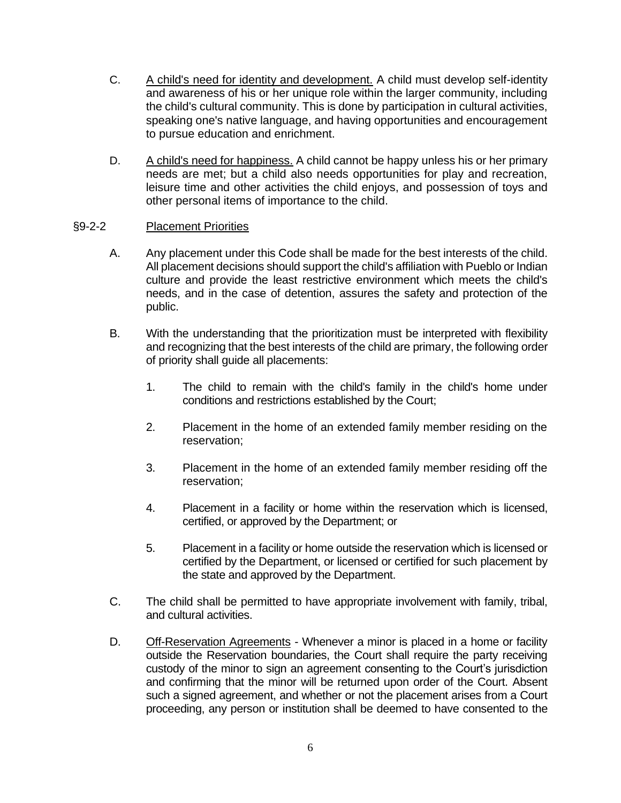- C. A child's need for identity and development. A child must develop self-identity and awareness of his or her unique role within the larger community, including the child's cultural community. This is done by participation in cultural activities, speaking one's native language, and having opportunities and encouragement to pursue education and enrichment.
- D. A child's need for happiness. A child cannot be happy unless his or her primary needs are met; but a child also needs opportunities for play and recreation, leisure time and other activities the child enjoys, and possession of toys and other personal items of importance to the child.

### §9-2-2 Placement Priorities

- A. Any placement under this Code shall be made for the best interests of the child. All placement decisions should support the child's affiliation with Pueblo or Indian culture and provide the least restrictive environment which meets the child's needs, and in the case of detention, assures the safety and protection of the public.
- B. With the understanding that the prioritization must be interpreted with flexibility and recognizing that the best interests of the child are primary, the following order of priority shall guide all placements:
	- 1. The child to remain with the child's family in the child's home under conditions and restrictions established by the Court;
	- 2. Placement in the home of an extended family member residing on the reservation;
	- 3. Placement in the home of an extended family member residing off the reservation;
	- 4. Placement in a facility or home within the reservation which is licensed, certified, or approved by the Department; or
	- 5. Placement in a facility or home outside the reservation which is licensed or certified by the Department, or licensed or certified for such placement by the state and approved by the Department.
- C. The child shall be permitted to have appropriate involvement with family, tribal, and cultural activities.
- D. Off-Reservation Agreements Whenever a minor is placed in a home or facility outside the Reservation boundaries, the Court shall require the party receiving custody of the minor to sign an agreement consenting to the Court's jurisdiction and confirming that the minor will be returned upon order of the Court. Absent such a signed agreement, and whether or not the placement arises from a Court proceeding, any person or institution shall be deemed to have consented to the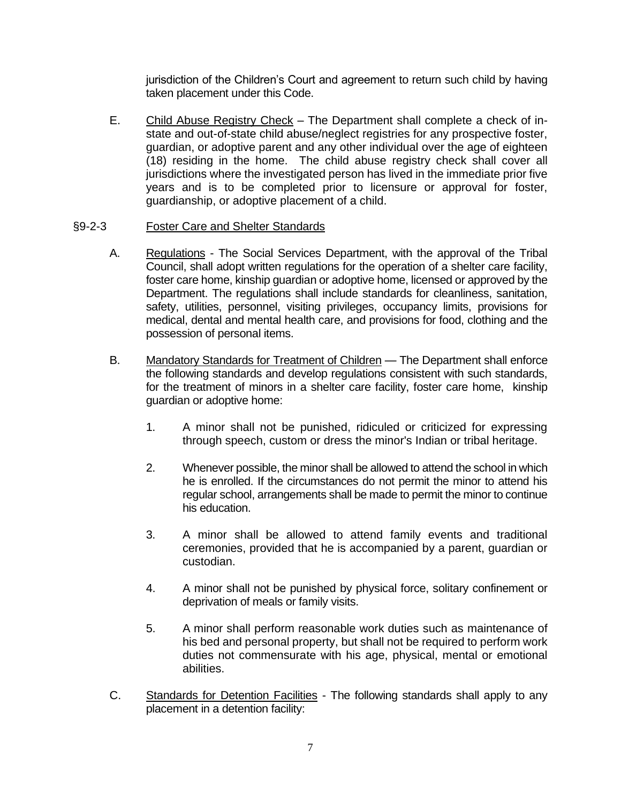jurisdiction of the Children's Court and agreement to return such child by having taken placement under this Code.

E. Child Abuse Registry Check – The Department shall complete a check of instate and out-of-state child abuse/neglect registries for any prospective foster, guardian, or adoptive parent and any other individual over the age of eighteen (18) residing in the home. The child abuse registry check shall cover all jurisdictions where the investigated person has lived in the immediate prior five years and is to be completed prior to licensure or approval for foster, guardianship, or adoptive placement of a child.

#### §9-2-3 Foster Care and Shelter Standards

- A. Regulations The Social Services Department, with the approval of the Tribal Council, shall adopt written regulations for the operation of a shelter care facility, foster care home, kinship guardian or adoptive home, licensed or approved by the Department. The regulations shall include standards for cleanliness, sanitation, safety, utilities, personnel, visiting privileges, occupancy limits, provisions for medical, dental and mental health care, and provisions for food, clothing and the possession of personal items.
- B. Mandatory Standards for Treatment of Children The Department shall enforce the following standards and develop regulations consistent with such standards, for the treatment of minors in a shelter care facility, foster care home, kinship guardian or adoptive home:
	- 1. A minor shall not be punished, ridiculed or criticized for expressing through speech, custom or dress the minor's Indian or tribal heritage.
	- 2. Whenever possible, the minor shall be allowed to attend the school in which he is enrolled. If the circumstances do not permit the minor to attend his regular school, arrangements shall be made to permit the minor to continue his education.
	- 3. A minor shall be allowed to attend family events and traditional ceremonies, provided that he is accompanied by a parent, guardian or custodian.
	- 4. A minor shall not be punished by physical force, solitary confinement or deprivation of meals or family visits.
	- 5. A minor shall perform reasonable work duties such as maintenance of his bed and personal property, but shall not be required to perform work duties not commensurate with his age, physical, mental or emotional abilities.
- C. Standards for Detention Facilities The following standards shall apply to any placement in a detention facility: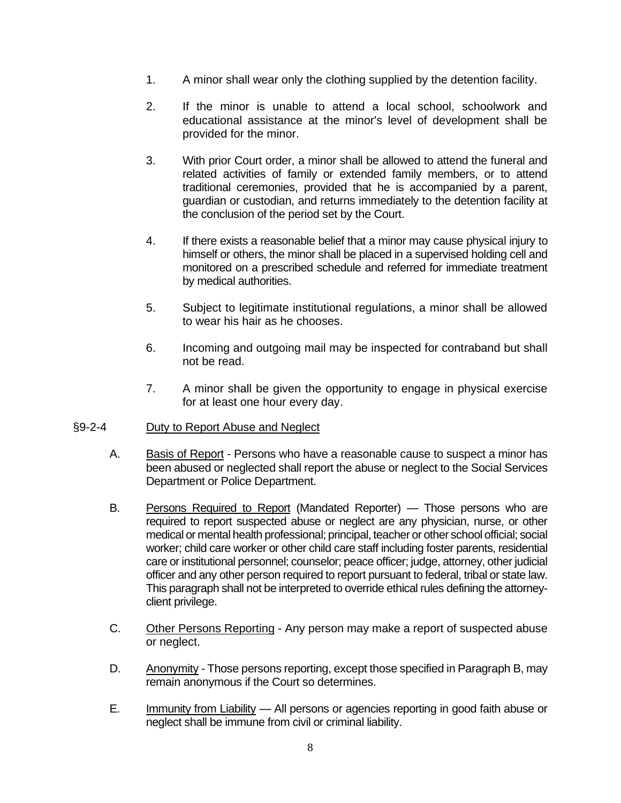- 1. A minor shall wear only the clothing supplied by the detention facility.
- 2. If the minor is unable to attend a local school, schoolwork and educational assistance at the minor's level of development shall be provided for the minor.
- 3. With prior Court order, a minor shall be allowed to attend the funeral and related activities of family or extended family members, or to attend traditional ceremonies, provided that he is accompanied by a parent, guardian or custodian, and returns immediately to the detention facility at the conclusion of the period set by the Court.
- 4. If there exists a reasonable belief that a minor may cause physical injury to himself or others, the minor shall be placed in a supervised holding cell and monitored on a prescribed schedule and referred for immediate treatment by medical authorities.
- 5. Subject to legitimate institutional regulations, a minor shall be allowed to wear his hair as he chooses.
- 6. Incoming and outgoing mail may be inspected for contraband but shall not be read.
- 7. A minor shall be given the opportunity to engage in physical exercise for at least one hour every day.

#### §9-2-4 Duty to Report Abuse and Neglect

- A. Basis of Report Persons who have a reasonable cause to suspect a minor has been abused or neglected shall report the abuse or neglect to the Social Services Department or Police Department.
- B. Persons Required to Report (Mandated Reporter) Those persons who are required to report suspected abuse or neglect are any physician, nurse, or other medical or mental health professional; principal, teacher or other school official; social worker; child care worker or other child care staff including foster parents, residential care or institutional personnel; counselor; peace officer; judge, attorney, other judicial officer and any other person required to report pursuant to federal, tribal or state law. This paragraph shall not be interpreted to override ethical rules defining the attorneyclient privilege.
- C. Other Persons Reporting Any person may make a report of suspected abuse or neglect.
- D. Anonymity Those persons reporting, except those specified in Paragraph B, may remain anonymous if the Court so determines.
- E. Immunity from Liability All persons or agencies reporting in good faith abuse or neglect shall be immune from civil or criminal liability.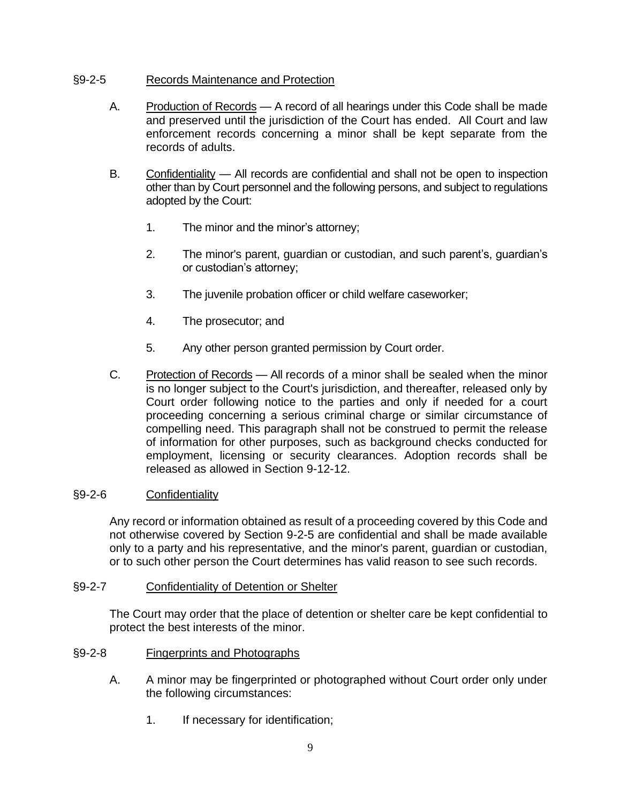### §9-2-5 Records Maintenance and Protection

- A. Production of Records A record of all hearings under this Code shall be made and preserved until the jurisdiction of the Court has ended. All Court and law enforcement records concerning a minor shall be kept separate from the records of adults.
- B. Confidentiality All records are confidential and shall not be open to inspection other than by Court personnel and the following persons, and subject to regulations adopted by the Court:
	- 1. The minor and the minor's attorney;
	- 2. The minor's parent, guardian or custodian, and such parent's, guardian's or custodian's attorney;
	- 3. The juvenile probation officer or child welfare caseworker;
	- 4. The prosecutor; and
	- 5. Any other person granted permission by Court order.
- C. Protection of Records All records of a minor shall be sealed when the minor is no longer subject to the Court's jurisdiction, and thereafter, released only by Court order following notice to the parties and only if needed for a court proceeding concerning a serious criminal charge or similar circumstance of compelling need. This paragraph shall not be construed to permit the release of information for other purposes, such as background checks conducted for employment, licensing or security clearances. Adoption records shall be released as allowed in Section 9-12-12.

#### §9-2-6 Confidentiality

Any record or information obtained as result of a proceeding covered by this Code and not otherwise covered by Section 9-2-5 are confidential and shall be made available only to a party and his representative, and the minor's parent, guardian or custodian, or to such other person the Court determines has valid reason to see such records.

#### §9-2-7 Confidentiality of Detention or Shelter

The Court may order that the place of detention or shelter care be kept confidential to protect the best interests of the minor.

#### §9-2-8 Fingerprints and Photographs

- A. A minor may be fingerprinted or photographed without Court order only under the following circumstances:
	- 1. If necessary for identification;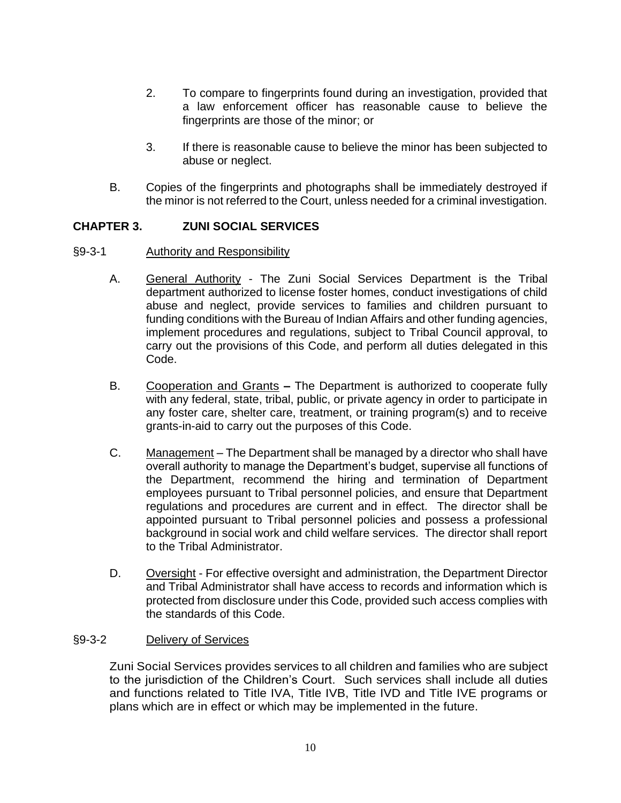- 2. To compare to fingerprints found during an investigation, provided that a law enforcement officer has reasonable cause to believe the fingerprints are those of the minor; or
- 3. If there is reasonable cause to believe the minor has been subjected to abuse or neglect.
- B. Copies of the fingerprints and photographs shall be immediately destroyed if the minor is not referred to the Court, unless needed for a criminal investigation.

## **CHAPTER 3. ZUNI SOCIAL SERVICES**

- §9-3-1 Authority and Responsibility
	- A. General Authority The Zuni Social Services Department is the Tribal department authorized to license foster homes, conduct investigations of child abuse and neglect, provide services to families and children pursuant to funding conditions with the Bureau of Indian Affairs and other funding agencies, implement procedures and regulations, subject to Tribal Council approval, to carry out the provisions of this Code, and perform all duties delegated in this Code.
	- B. Cooperation and Grants **–** The Department is authorized to cooperate fully with any federal, state, tribal, public, or private agency in order to participate in any foster care, shelter care, treatment, or training program(s) and to receive grants-in-aid to carry out the purposes of this Code.
	- C. Management The Department shall be managed by a director who shall have overall authority to manage the Department's budget, supervise all functions of the Department, recommend the hiring and termination of Department employees pursuant to Tribal personnel policies, and ensure that Department regulations and procedures are current and in effect. The director shall be appointed pursuant to Tribal personnel policies and possess a professional background in social work and child welfare services. The director shall report to the Tribal Administrator.
	- D. Oversight For effective oversight and administration, the Department Director and Tribal Administrator shall have access to records and information which is protected from disclosure under this Code, provided such access complies with the standards of this Code.

#### §9-3-2 Delivery of Services

Zuni Social Services provides services to all children and families who are subject to the jurisdiction of the Children's Court. Such services shall include all duties and functions related to Title IVA, Title IVB, Title IVD and Title IVE programs or plans which are in effect or which may be implemented in the future.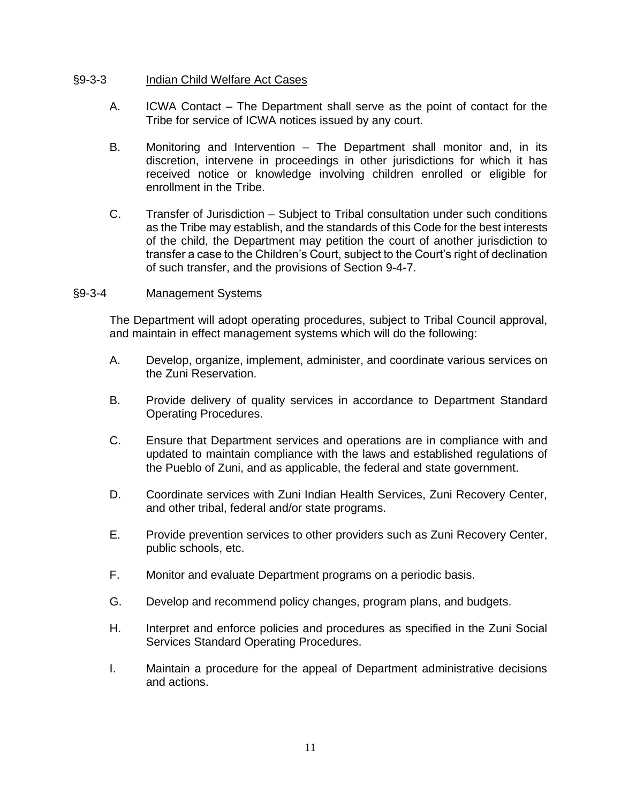#### §9-3-3 Indian Child Welfare Act Cases

- A. ICWA Contact The Department shall serve as the point of contact for the Tribe for service of ICWA notices issued by any court.
- B. Monitoring and Intervention The Department shall monitor and, in its discretion, intervene in proceedings in other jurisdictions for which it has received notice or knowledge involving children enrolled or eligible for enrollment in the Tribe.
- C. Transfer of Jurisdiction Subject to Tribal consultation under such conditions as the Tribe may establish, and the standards of this Code for the best interests of the child, the Department may petition the court of another jurisdiction to transfer a case to the Children's Court, subject to the Court's right of declination of such transfer, and the provisions of Section 9-4-7.

#### §9-3-4 Management Systems

The Department will adopt operating procedures, subject to Tribal Council approval, and maintain in effect management systems which will do the following:

- A. Develop, organize, implement, administer, and coordinate various services on the Zuni Reservation.
- B. Provide delivery of quality services in accordance to Department Standard Operating Procedures.
- C. Ensure that Department services and operations are in compliance with and updated to maintain compliance with the laws and established regulations of the Pueblo of Zuni, and as applicable, the federal and state government.
- D. Coordinate services with Zuni Indian Health Services, Zuni Recovery Center, and other tribal, federal and/or state programs.
- E. Provide prevention services to other providers such as Zuni Recovery Center, public schools, etc.
- F. Monitor and evaluate Department programs on a periodic basis.
- G. Develop and recommend policy changes, program plans, and budgets.
- H. Interpret and enforce policies and procedures as specified in the Zuni Social Services Standard Operating Procedures.
- I. Maintain a procedure for the appeal of Department administrative decisions and actions.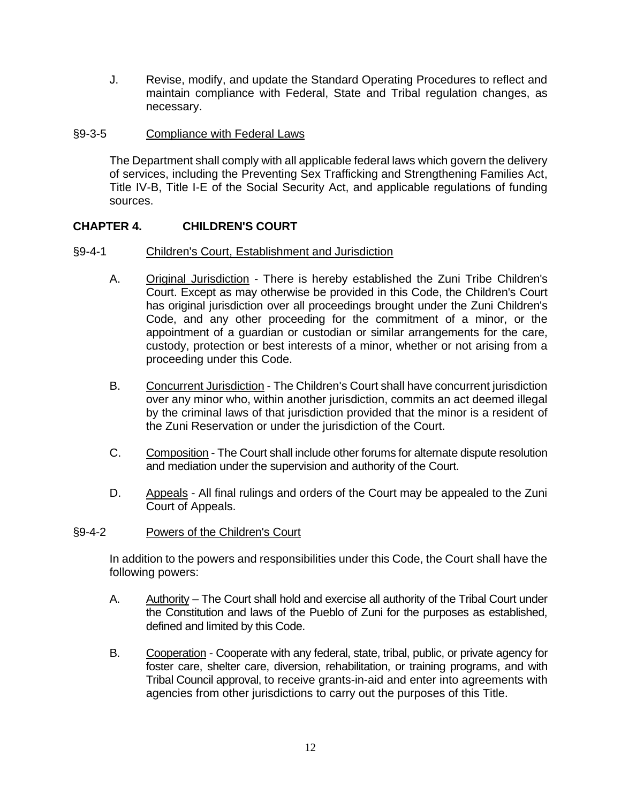J. Revise, modify, and update the Standard Operating Procedures to reflect and maintain compliance with Federal, State and Tribal regulation changes, as necessary.

#### §9-3-5 Compliance with Federal Laws

The Department shall comply with all applicable federal laws which govern the delivery of services, including the Preventing Sex Trafficking and Strengthening Families Act, Title IV-B, Title I-E of the Social Security Act, and applicable regulations of funding sources.

## **CHAPTER 4. CHILDREN'S COURT**

#### §9-4-1 Children's Court, Establishment and Jurisdiction

- A. Original Jurisdiction There is hereby established the Zuni Tribe Children's Court. Except as may otherwise be provided in this Code, the Children's Court has original jurisdiction over all proceedings brought under the Zuni Children's Code, and any other proceeding for the commitment of a minor, or the appointment of a guardian or custodian or similar arrangements for the care, custody, protection or best interests of a minor, whether or not arising from a proceeding under this Code.
- B. Concurrent Jurisdiction The Children's Court shall have concurrent jurisdiction over any minor who, within another jurisdiction, commits an act deemed illegal by the criminal laws of that jurisdiction provided that the minor is a resident of the Zuni Reservation or under the jurisdiction of the Court.
- C. Composition The Court shall include other forums for alternate dispute resolution and mediation under the supervision and authority of the Court.
- D. Appeals All final rulings and orders of the Court may be appealed to the Zuni Court of Appeals.

#### §9-4-2 Powers of the Children's Court

In addition to the powers and responsibilities under this Code, the Court shall have the following powers:

- A. Authority The Court shall hold and exercise all authority of the Tribal Court under the Constitution and laws of the Pueblo of Zuni for the purposes as established, defined and limited by this Code.
- B. Cooperation Cooperate with any federal, state, tribal, public, or private agency for foster care, shelter care, diversion, rehabilitation, or training programs, and with Tribal Council approval, to receive grants-in-aid and enter into agreements with agencies from other jurisdictions to carry out the purposes of this Title.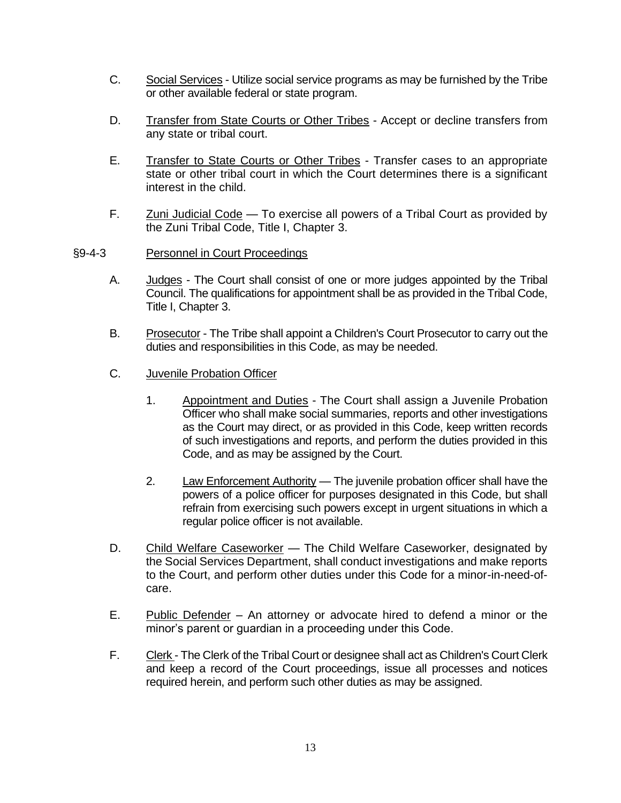- C. Social Services Utilize social service programs as may be furnished by the Tribe or other available federal or state program.
- D. Transfer from State Courts or Other Tribes Accept or decline transfers from any state or tribal court.
- E. Transfer to State Courts or Other Tribes Transfer cases to an appropriate state or other tribal court in which the Court determines there is a significant interest in the child.
- F. Zuni Judicial Code To exercise all powers of a Tribal Court as provided by the Zuni Tribal Code, Title I, Chapter 3.
- §9-4-3 Personnel in Court Proceedings
	- A. Judges The Court shall consist of one or more judges appointed by the Tribal Council. The qualifications for appointment shall be as provided in the Tribal Code, Title I, Chapter 3.
	- B. Prosecutor The Tribe shall appoint a Children's Court Prosecutor to carry out the duties and responsibilities in this Code, as may be needed.
	- C. Juvenile Probation Officer
		- 1. Appointment and Duties The Court shall assign a Juvenile Probation Officer who shall make social summaries, reports and other investigations as the Court may direct, or as provided in this Code, keep written records of such investigations and reports, and perform the duties provided in this Code, and as may be assigned by the Court.
		- 2. Law Enforcement Authority The juvenile probation officer shall have the powers of a police officer for purposes designated in this Code, but shall refrain from exercising such powers except in urgent situations in which a regular police officer is not available.
	- D. Child Welfare Caseworker The Child Welfare Caseworker, designated by the Social Services Department, shall conduct investigations and make reports to the Court, and perform other duties under this Code for a minor-in-need-ofcare.
	- E. Public Defender An attorney or advocate hired to defend a minor or the minor's parent or guardian in a proceeding under this Code.
	- F. Clerk The Clerk of the Tribal Court or designee shall act as Children's Court Clerk and keep a record of the Court proceedings, issue all processes and notices required herein, and perform such other duties as may be assigned.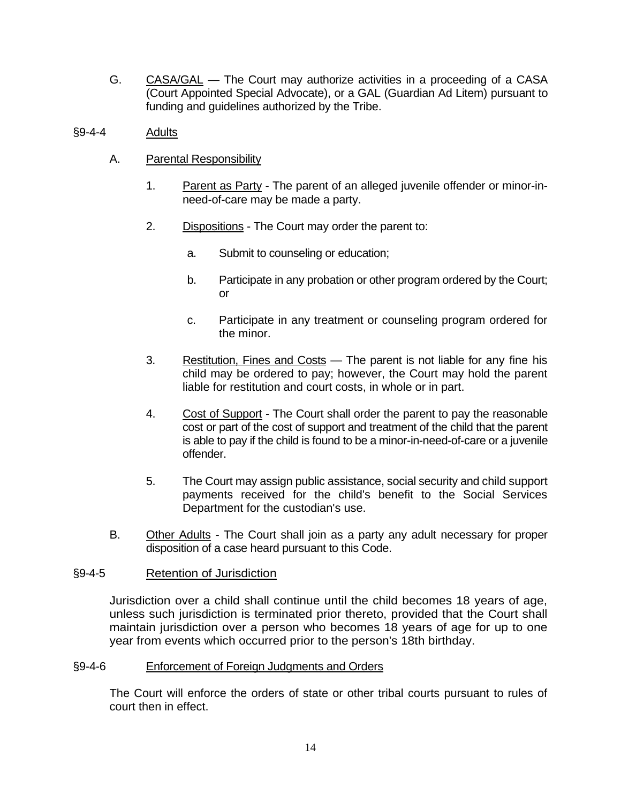G. CASA/GAL — The Court may authorize activities in a proceeding of a CASA (Court Appointed Special Advocate), or a GAL (Guardian Ad Litem) pursuant to funding and guidelines authorized by the Tribe.

#### §9-4-4 Adults

- A. Parental Responsibility
	- 1. Parent as Party The parent of an alleged juvenile offender or minor-inneed-of-care may be made a party.
	- 2. Dispositions The Court may order the parent to:
		- a. Submit to counseling or education;
		- b. Participate in any probation or other program ordered by the Court; or
		- c. Participate in any treatment or counseling program ordered for the minor.
	- 3. Restitution, Fines and Costs The parent is not liable for any fine his child may be ordered to pay; however, the Court may hold the parent liable for restitution and court costs, in whole or in part.
	- 4. Cost of Support The Court shall order the parent to pay the reasonable cost or part of the cost of support and treatment of the child that the parent is able to pay if the child is found to be a minor-in-need-of-care or a juvenile offender.
	- 5. The Court may assign public assistance, social security and child support payments received for the child's benefit to the Social Services Department for the custodian's use.
- B. Other Adults The Court shall join as a party any adult necessary for proper disposition of a case heard pursuant to this Code.

#### §9-4-5 Retention of Jurisdiction

Jurisdiction over a child shall continue until the child becomes 18 years of age, unless such jurisdiction is terminated prior thereto, provided that the Court shall maintain jurisdiction over a person who becomes 18 years of age for up to one year from events which occurred prior to the person's 18th birthday.

#### §9-4-6 Enforcement of Foreign Judgments and Orders

The Court will enforce the orders of state or other tribal courts pursuant to rules of court then in effect.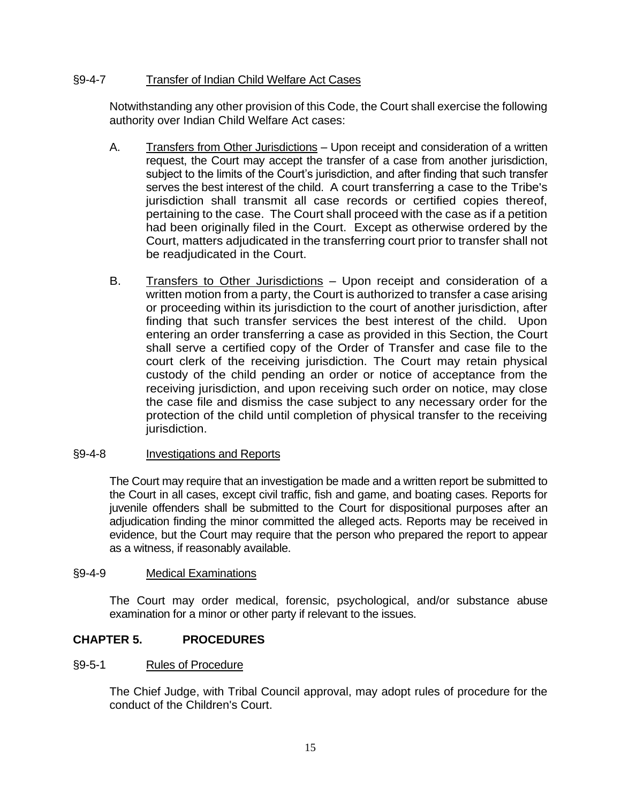### §9-4-7 Transfer of Indian Child Welfare Act Cases

Notwithstanding any other provision of this Code, the Court shall exercise the following authority over Indian Child Welfare Act cases:

- A. Transfers from Other Jurisdictions Upon receipt and consideration of a written request, the Court may accept the transfer of a case from another jurisdiction, subject to the limits of the Court's jurisdiction, and after finding that such transfer serves the best interest of the child. A court transferring a case to the Tribe's jurisdiction shall transmit all case records or certified copies thereof, pertaining to the case. The Court shall proceed with the case as if a petition had been originally filed in the Court. Except as otherwise ordered by the Court, matters adjudicated in the transferring court prior to transfer shall not be readjudicated in the Court.
- B. Transfers to Other Jurisdictions Upon receipt and consideration of a written motion from a party, the Court is authorized to transfer a case arising or proceeding within its jurisdiction to the court of another jurisdiction, after finding that such transfer services the best interest of the child. Upon entering an order transferring a case as provided in this Section, the Court shall serve a certified copy of the Order of Transfer and case file to the court clerk of the receiving jurisdiction. The Court may retain physical custody of the child pending an order or notice of acceptance from the receiving jurisdiction, and upon receiving such order on notice, may close the case file and dismiss the case subject to any necessary order for the protection of the child until completion of physical transfer to the receiving jurisdiction.

#### §9-4-8 Investigations and Reports

The Court may require that an investigation be made and a written report be submitted to the Court in all cases, except civil traffic, fish and game, and boating cases. Reports for juvenile offenders shall be submitted to the Court for dispositional purposes after an adjudication finding the minor committed the alleged acts. Reports may be received in evidence, but the Court may require that the person who prepared the report to appear as a witness, if reasonably available.

#### §9-4-9 Medical Examinations

The Court may order medical, forensic, psychological, and/or substance abuse examination for a minor or other party if relevant to the issues.

#### **CHAPTER 5. PROCEDURES**

#### §9-5-1 Rules of Procedure

The Chief Judge, with Tribal Council approval, may adopt rules of procedure for the conduct of the Children's Court.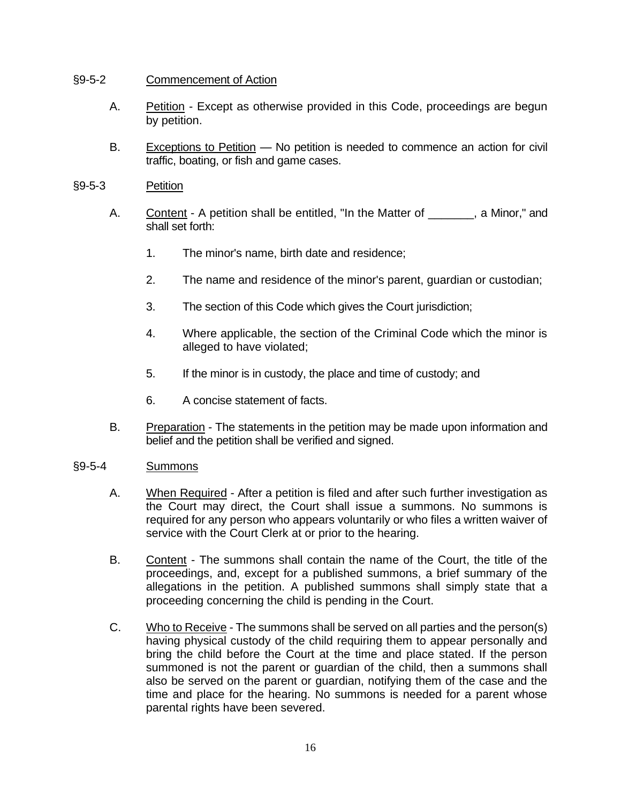#### §9-5-2 Commencement of Action

- A. Petition Except as otherwise provided in this Code, proceedings are begun by petition.
- B. Exceptions to Petition No petition is needed to commence an action for civil traffic, boating, or fish and game cases.
- §9-5-3 Petition
	- A. Content A petition shall be entitled, "In the Matter of \_\_\_\_\_\_\_, a Minor," and shall set forth:
		- 1. The minor's name, birth date and residence;
		- 2. The name and residence of the minor's parent, guardian or custodian;
		- 3. The section of this Code which gives the Court jurisdiction;
		- 4. Where applicable, the section of the Criminal Code which the minor is alleged to have violated;
		- 5. If the minor is in custody, the place and time of custody; and
		- 6. A concise statement of facts.
	- B. Preparation The statements in the petition may be made upon information and belief and the petition shall be verified and signed.

#### §9-5-4 Summons

- A. When Required After a petition is filed and after such further investigation as the Court may direct, the Court shall issue a summons. No summons is required for any person who appears voluntarily or who files a written waiver of service with the Court Clerk at or prior to the hearing.
- B. Content The summons shall contain the name of the Court, the title of the proceedings, and, except for a published summons, a brief summary of the allegations in the petition. A published summons shall simply state that a proceeding concerning the child is pending in the Court.
- C. Who to Receive The summons shall be served on all parties and the person(s) having physical custody of the child requiring them to appear personally and bring the child before the Court at the time and place stated. If the person summoned is not the parent or guardian of the child, then a summons shall also be served on the parent or guardian, notifying them of the case and the time and place for the hearing. No summons is needed for a parent whose parental rights have been severed.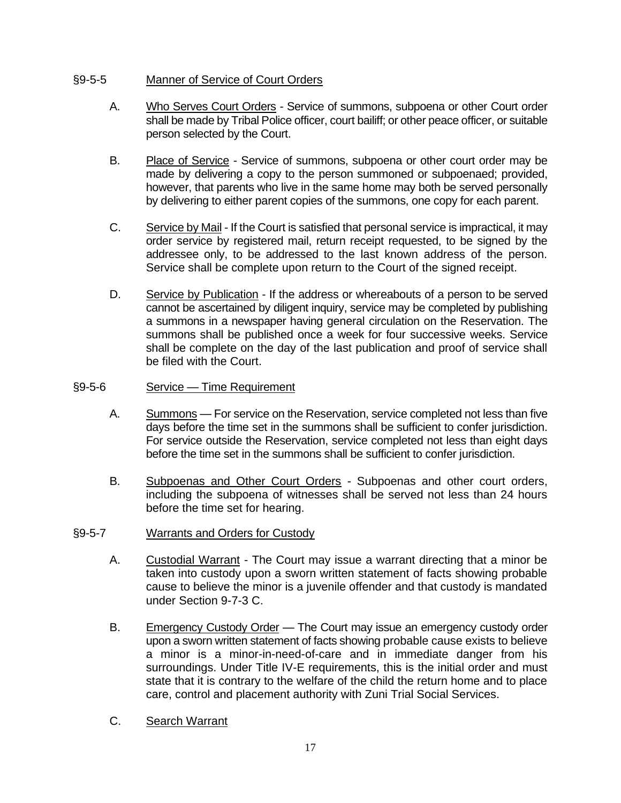## §9-5-5 Manner of Service of Court Orders

- A. Who Serves Court Orders Service of summons, subpoena or other Court order shall be made by Tribal Police officer, court bailiff; or other peace officer, or suitable person selected by the Court.
- B. Place of Service Service of summons, subpoena or other court order may be made by delivering a copy to the person summoned or subpoenaed; provided, however, that parents who live in the same home may both be served personally by delivering to either parent copies of the summons, one copy for each parent.
- C. Service by Mail If the Court is satisfied that personal service is impractical, it may order service by registered mail, return receipt requested, to be signed by the addressee only, to be addressed to the last known address of the person. Service shall be complete upon return to the Court of the signed receipt.
- D. Service by Publication If the address or whereabouts of a person to be served cannot be ascertained by diligent inquiry, service may be completed by publishing a summons in a newspaper having general circulation on the Reservation. The summons shall be published once a week for four successive weeks. Service shall be complete on the day of the last publication and proof of service shall be filed with the Court.
- §9-5-6 Service Time Requirement
	- A. Summons For service on the Reservation, service completed not less than five days before the time set in the summons shall be sufficient to confer jurisdiction. For service outside the Reservation, service completed not less than eight days before the time set in the summons shall be sufficient to confer jurisdiction.
	- B. Subpoenas and Other Court Orders Subpoenas and other court orders, including the subpoena of witnesses shall be served not less than 24 hours before the time set for hearing.
- §9-5-7 Warrants and Orders for Custody
	- A. Custodial Warrant The Court may issue a warrant directing that a minor be taken into custody upon a sworn written statement of facts showing probable cause to believe the minor is a juvenile offender and that custody is mandated under Section 9-7-3 C.
	- B. Emergency Custody Order The Court may issue an emergency custody order upon a sworn written statement of facts showing probable cause exists to believe a minor is a minor-in-need-of-care and in immediate danger from his surroundings. Under Title IV-E requirements, this is the initial order and must state that it is contrary to the welfare of the child the return home and to place care, control and placement authority with Zuni Trial Social Services.
	- C. Search Warrant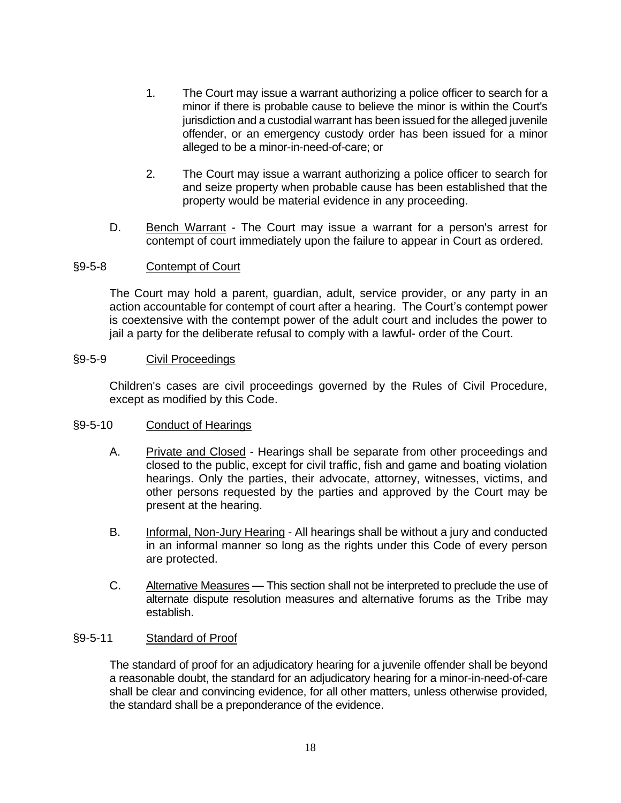- 1. The Court may issue a warrant authorizing a police officer to search for a minor if there is probable cause to believe the minor is within the Court's jurisdiction and a custodial warrant has been issued for the alleged juvenile offender, or an emergency custody order has been issued for a minor alleged to be a minor-in-need-of-care; or
- 2. The Court may issue a warrant authorizing a police officer to search for and seize property when probable cause has been established that the property would be material evidence in any proceeding.
- D. Bench Warrant The Court may issue a warrant for a person's arrest for contempt of court immediately upon the failure to appear in Court as ordered.

#### §9-5-8 Contempt of Court

The Court may hold a parent, guardian, adult, service provider, or any party in an action accountable for contempt of court after a hearing. The Court's contempt power is coextensive with the contempt power of the adult court and includes the power to jail a party for the deliberate refusal to comply with a lawful- order of the Court.

#### §9-5-9 Civil Proceedings

Children's cases are civil proceedings governed by the Rules of Civil Procedure, except as modified by this Code.

#### §9-5-10 Conduct of Hearings

- A. Private and Closed Hearings shall be separate from other proceedings and closed to the public, except for civil traffic, fish and game and boating violation hearings. Only the parties, their advocate, attorney, witnesses, victims, and other persons requested by the parties and approved by the Court may be present at the hearing.
- B. Informal, Non-Jury Hearing All hearings shall be without a jury and conducted in an informal manner so long as the rights under this Code of every person are protected.
- C. Alternative Measures This section shall not be interpreted to preclude the use of alternate dispute resolution measures and alternative forums as the Tribe may establish.

#### §9-5-11 Standard of Proof

The standard of proof for an adjudicatory hearing for a juvenile offender shall be beyond a reasonable doubt, the standard for an adjudicatory hearing for a minor-in-need-of-care shall be clear and convincing evidence, for all other matters, unless otherwise provided, the standard shall be a preponderance of the evidence.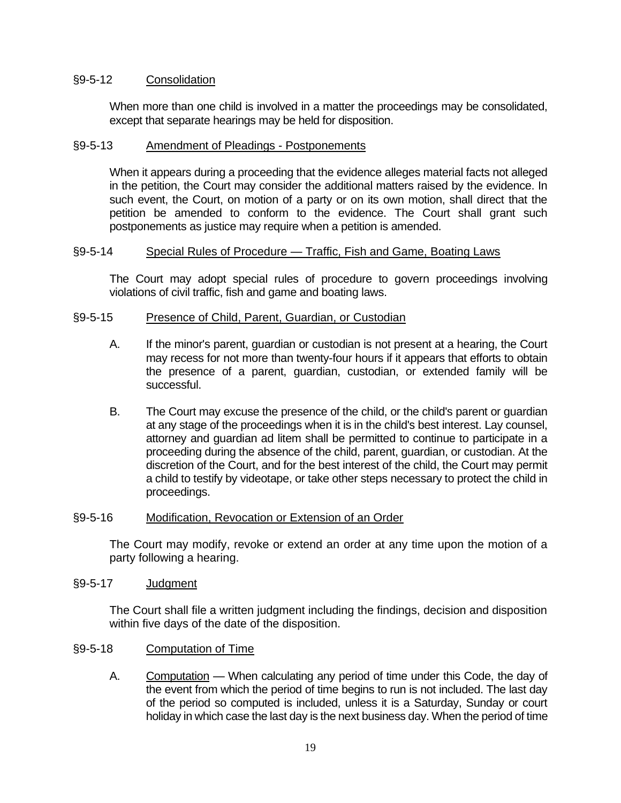#### §9-5-12 Consolidation

When more than one child is involved in a matter the proceedings may be consolidated, except that separate hearings may be held for disposition.

#### §9-5-13 Amendment of Pleadings - Postponements

When it appears during a proceeding that the evidence alleges material facts not alleged in the petition, the Court may consider the additional matters raised by the evidence. In such event, the Court, on motion of a party or on its own motion, shall direct that the petition be amended to conform to the evidence. The Court shall grant such postponements as justice may require when a petition is amended.

#### §9-5-14 Special Rules of Procedure — Traffic, Fish and Game, Boating Laws

The Court may adopt special rules of procedure to govern proceedings involving violations of civil traffic, fish and game and boating laws.

#### §9-5-15 Presence of Child, Parent, Guardian, or Custodian

- A. If the minor's parent, guardian or custodian is not present at a hearing, the Court may recess for not more than twenty-four hours if it appears that efforts to obtain the presence of a parent, guardian, custodian, or extended family will be successful.
- B. The Court may excuse the presence of the child, or the child's parent or guardian at any stage of the proceedings when it is in the child's best interest. Lay counsel, attorney and guardian ad litem shall be permitted to continue to participate in a proceeding during the absence of the child, parent, guardian, or custodian. At the discretion of the Court, and for the best interest of the child, the Court may permit a child to testify by videotape, or take other steps necessary to protect the child in proceedings.

#### §9-5-16 Modification, Revocation or Extension of an Order

The Court may modify, revoke or extend an order at any time upon the motion of a party following a hearing.

#### §9-5-17 Judgment

The Court shall file a written judgment including the findings, decision and disposition within five days of the date of the disposition.

#### §9-5-18 Computation of Time

A. Computation — When calculating any period of time under this Code, the day of the event from which the period of time begins to run is not included. The last day of the period so computed is included, unless it is a Saturday, Sunday or court holiday in which case the last day is the next business day. When the period of time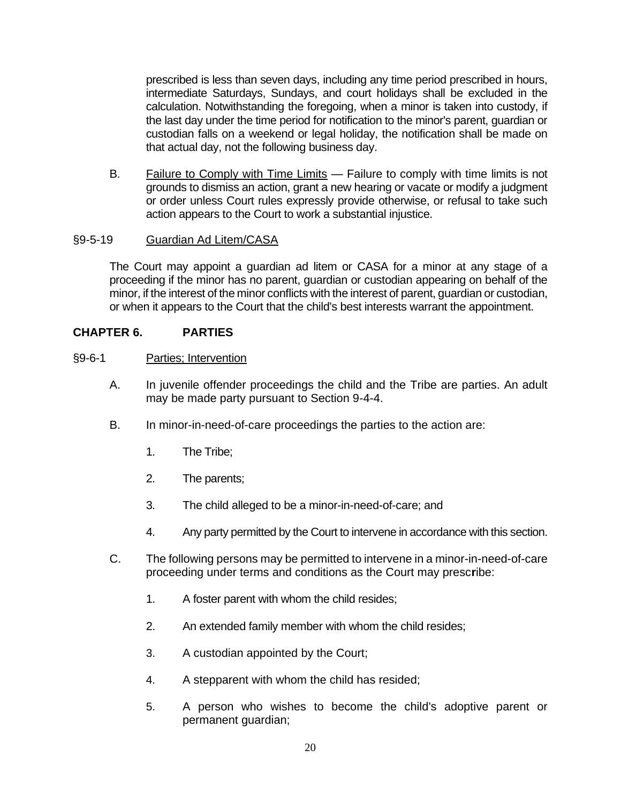prescribed is less than seven days, including any time period prescribed in hours, intermediate Saturdays, Sundays, and court holidays shall be excluded in the calculation. Notwithstanding the foregoing, when a minor is taken into custody, if the last day under the time period for notification to the minor's parent, guardian or custodian falls on a weekend or legal holiday, the notification shall be made on that actual day, not the following business day.

B. Failure to Comply with Time Limits - Failure to comply with time limits is not grounds to dismiss an action, grant a new hearing or vacate or modify a judgment or order unless Court rules expressly provide otherwise, or refusal to take such action appears to the Court to work a substantial injustice.

### §9-5-19 Guardian Ad Litem/CASA

The Court may appoint a guardian ad litem or CASA for a minor at any stage of a proceeding if the minor has no parent, guardian or custodian appearing on behalf of the minor, if the interest of the minor conflicts with the interest of parent, guardian or custodian, or when it appears to the Court that the child's best interests warrant the appointment.

### **CHAPTER 6. PARTIES**

- §9-6-1 Parties; Intervention
	- A. In juvenile offender proceedings the child and the Tribe are parties. An adult may be made party pursuant to Section 9-4-4.
	- B. In minor-in-need-of-care proceedings the parties to the action are:
		- 1. The Tribe;
		- 2. The parents;
		- 3. The child alleged to be a minor-in-need-of-care; and
		- 4. Any party permitted by the Court to intervene in accordance with this section.
	- C. The following persons may be permitted to intervene in a minor-in-need-of-care proceeding under terms and conditions as the Court may presc**r**ibe:
		- 1. A foster parent with whom the child resides;
		- 2. An extended family member with whom the child resides;
		- 3. A custodian appointed by the Court;
		- 4. A stepparent with whom the child has resided;
		- 5. A person who wishes to become the child's adoptive parent or permanent guardian;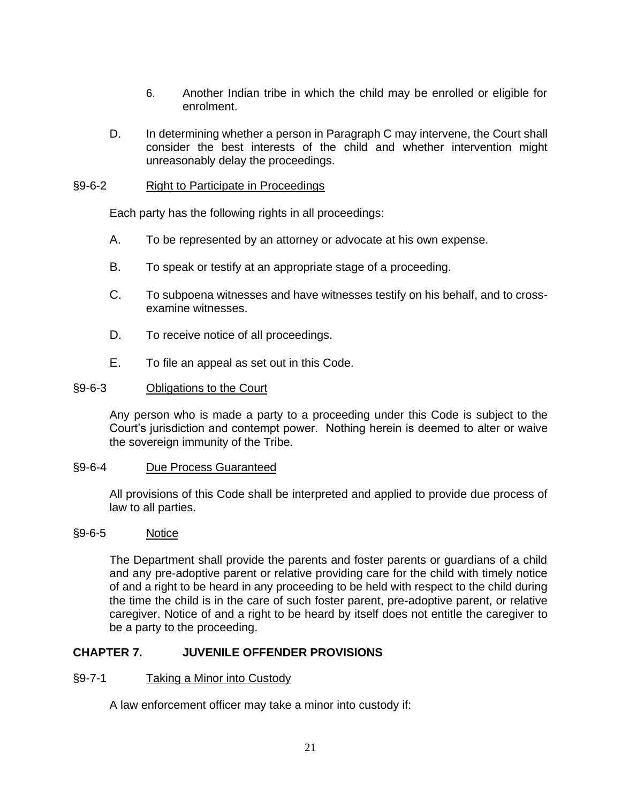- 6. Another Indian tribe in which the child may be enrolled or eligible for enrolment.
- D. In determining whether a person in Paragraph C may intervene, the Court shall consider the best interests of the child and whether intervention might unreasonably delay the proceedings.

#### §9-6-2 Right to Participate in Proceedings

Each party has the following rights in all proceedings:

- A. To be represented by an attorney or advocate at his own expense.
- B. To speak or testify at an appropriate stage of a proceeding.
- C. To subpoena witnesses and have witnesses testify on his behalf, and to crossexamine witnesses.
- D. To receive notice of all proceedings.
- E. To file an appeal as set out in this Code.

#### §9-6-3 Obligations to the Court

Any person who is made a party to a proceeding under this Code is subject to the Court's jurisdiction and contempt power. Nothing herein is deemed to alter or waive the sovereign immunity of the Tribe.

#### §9-6-4 Due Process Guaranteed

All provisions of this Code shall be interpreted and applied to provide due process of law to all parties.

#### §9-6-5 Notice

The Department shall provide the parents and foster parents or guardians of a child and any pre-adoptive parent or relative providing care for the child with timely notice of and a right to be heard in any proceeding to be held with respect to the child during the time the child is in the care of such foster parent, pre-adoptive parent, or relative caregiver. Notice of and a right to be heard by itself does not entitle the caregiver to be a party to the proceeding.

#### **CHAPTER 7. JUVENILE OFFENDER PROVISIONS**

#### §9-7-1 Taking a Minor into Custody

A law enforcement officer may take a minor into custody if: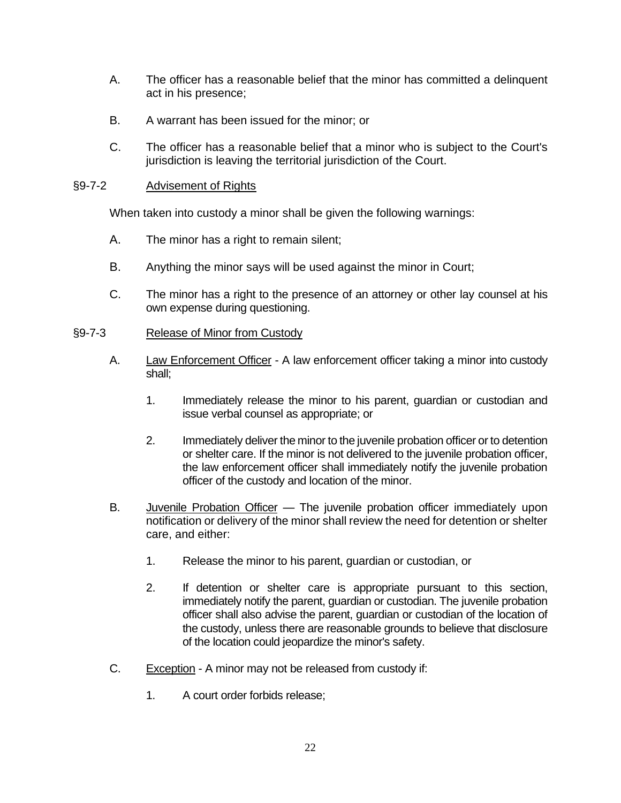- A. The officer has a reasonable belief that the minor has committed a delinquent act in his presence;
- B. A warrant has been issued for the minor; or
- C. The officer has a reasonable belief that a minor who is subject to the Court's jurisdiction is leaving the territorial jurisdiction of the Court.

### §9-7-2 Advisement of Rights

When taken into custody a minor shall be given the following warnings:

- A. The minor has a right to remain silent;
- B. Anything the minor says will be used against the minor in Court;
- C. The minor has a right to the presence of an attorney or other lay counsel at his own expense during questioning.

## §9-7-3 Release of Minor from Custody

- A. Law Enforcement Officer A law enforcement officer taking a minor into custody shall;
	- 1. Immediately release the minor to his parent, guardian or custodian and issue verbal counsel as appropriate; or
	- 2. Immediately deliver the minor to the juvenile probation officer or to detention or shelter care. If the minor is not delivered to the juvenile probation officer, the law enforcement officer shall immediately notify the juvenile probation officer of the custody and location of the minor.
- B. Juvenile Probation Officer The juvenile probation officer immediately upon notification or delivery of the minor shall review the need for detention or shelter care, and either:
	- 1. Release the minor to his parent, guardian or custodian, or
	- 2. If detention or shelter care is appropriate pursuant to this section, immediately notify the parent, guardian or custodian. The juvenile probation officer shall also advise the parent, guardian or custodian of the location of the custody, unless there are reasonable grounds to believe that disclosure of the location could jeopardize the minor's safety.
- C. Exception A minor may not be released from custody if:
	- 1. A court order forbids release;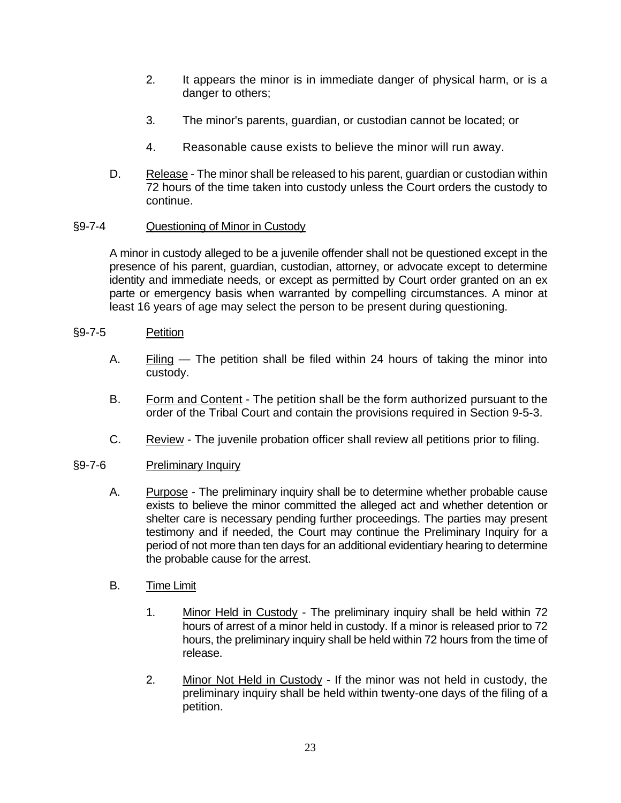- 2. It appears the minor is in immediate danger of physical harm, or is a danger to others;
- 3. The minor's parents, guardian, or custodian cannot be located; or
- 4. Reasonable cause exists to believe the minor will run away.
- D. Release The minor shall be released to his parent, guardian or custodian within 72 hours of the time taken into custody unless the Court orders the custody to continue.

## §9-7-4 Questioning of Minor in Custody

A minor in custody alleged to be a juvenile offender shall not be questioned except in the presence of his parent, guardian, custodian, attorney, or advocate except to determine identity and immediate needs, or except as permitted by Court order granted on an ex parte or emergency basis when warranted by compelling circumstances. A minor at least 16 years of age may select the person to be present during questioning.

### §9-7-5 Petition

- A. Filing The petition shall be filed within 24 hours of taking the minor into custody.
- B. Form and Content The petition shall be the form authorized pursuant to the order of the Tribal Court and contain the provisions required in Section 9-5-3.
- C. Review The juvenile probation officer shall review all petitions prior to filing.

#### §9-7-6 Preliminary Inquiry

- A. Purpose The preliminary inquiry shall be to determine whether probable cause exists to believe the minor committed the alleged act and whether detention or shelter care is necessary pending further proceedings. The parties may present testimony and if needed, the Court may continue the Preliminary Inquiry for a period of not more than ten days for an additional evidentiary hearing to determine the probable cause for the arrest.
- B. Time Limit
	- 1. Minor Held in Custody The preliminary inquiry shall be held within 72 hours of arrest of a minor held in custody. If a minor is released prior to 72 hours, the preliminary inquiry shall be held within 72 hours from the time of release.
	- 2. Minor Not Held in Custody If the minor was not held in custody, the preliminary inquiry shall be held within twenty-one days of the filing of a petition.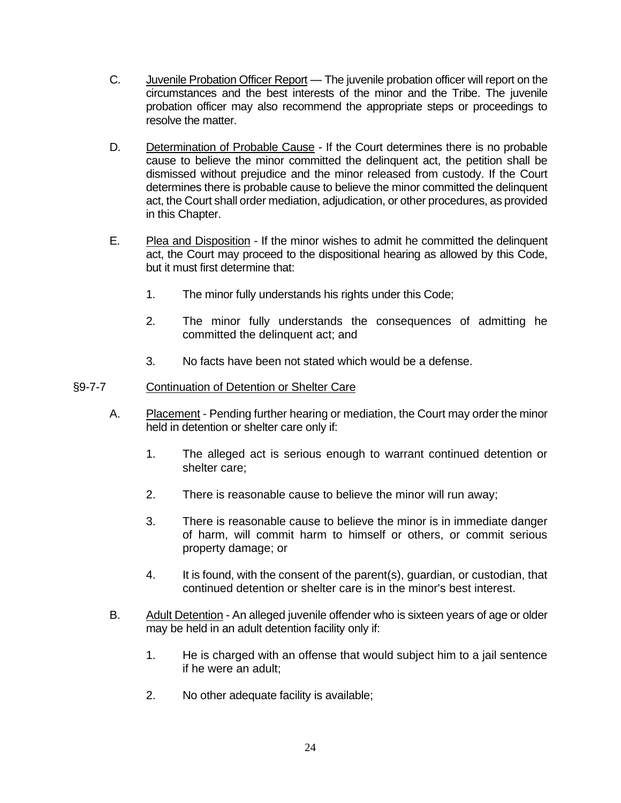- C. Juvenile Probation Officer Report The juvenile probation officer will report on the circumstances and the best interests of the minor and the Tribe. The juvenile probation officer may also recommend the appropriate steps or proceedings to resolve the matter.
- D. Determination of Probable Cause If the Court determines there is no probable cause to believe the minor committed the delinquent act, the petition shall be dismissed without prejudice and the minor released from custody. If the Court determines there is probable cause to believe the minor committed the delinquent act, the Court shall order mediation, adjudication, or other procedures, as provided in this Chapter.
- E. Plea and Disposition If the minor wishes to admit he committed the delinquent act, the Court may proceed to the dispositional hearing as allowed by this Code, but it must first determine that:
	- 1. The minor fully understands his rights under this Code;
	- 2. The minor fully understands the consequences of admitting he committed the delinquent act; and
	- 3. No facts have been not stated which would be a defense.

#### §9-7-7 Continuation of Detention or Shelter Care

- A. Placement Pending further hearing or mediation, the Court may order the minor held in detention or shelter care only if:
	- 1. The alleged act is serious enough to warrant continued detention or shelter care;
	- 2. There is reasonable cause to believe the minor will run away;
	- 3. There is reasonable cause to believe the minor is in immediate danger of harm, will commit harm to himself or others, or commit serious property damage; or
	- 4. It is found, with the consent of the parent(s), guardian, or custodian, that continued detention or shelter care is in the minor's best interest.
- B. Adult Detention An alleged juvenile offender who is sixteen years of age or older may be held in an adult detention facility only if:
	- 1. He is charged with an offense that would subject him to a jail sentence if he were an adult;
	- 2. No other adequate facility is available;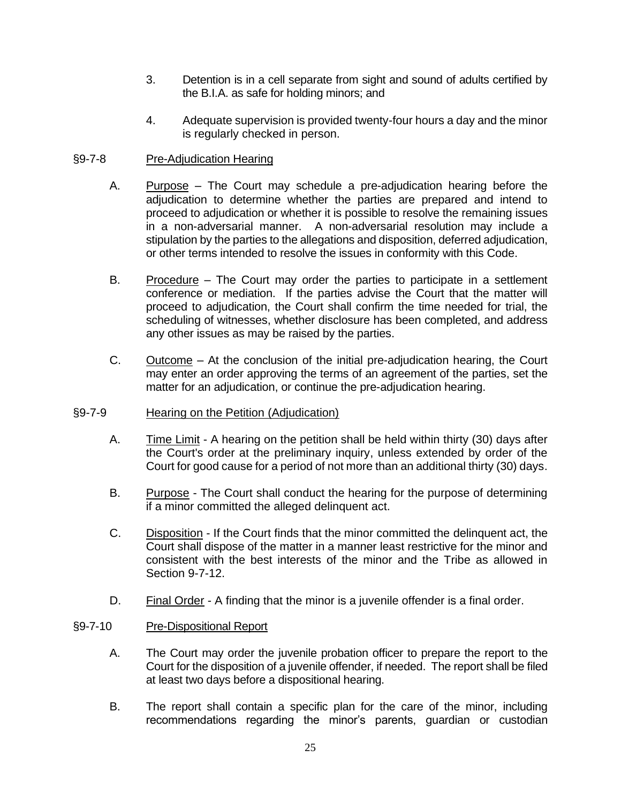- 3. Detention is in a cell separate from sight and sound of adults certified by the B.I.A. as safe for holding minors; and
- 4. Adequate supervision is provided twenty-four hours a day and the minor is regularly checked in person.

### §9-7-8 Pre-Adjudication Hearing

- A. Purpose The Court may schedule a pre-adjudication hearing before the adjudication to determine whether the parties are prepared and intend to proceed to adjudication or whether it is possible to resolve the remaining issues in a non-adversarial manner. A non-adversarial resolution may include a stipulation by the parties to the allegations and disposition, deferred adjudication, or other terms intended to resolve the issues in conformity with this Code.
- B. Procedure The Court may order the parties to participate in a settlement conference or mediation. If the parties advise the Court that the matter will proceed to adjudication, the Court shall confirm the time needed for trial, the scheduling of witnesses, whether disclosure has been completed, and address any other issues as may be raised by the parties.
- C. Outcome At the conclusion of the initial pre-adjudication hearing, the Court may enter an order approving the terms of an agreement of the parties, set the matter for an adjudication, or continue the pre-adjudication hearing.

#### §9-7-9 Hearing on the Petition (Adjudication)

- A. Time Limit A hearing on the petition shall be held within thirty (30) days after the Court's order at the preliminary inquiry, unless extended by order of the Court for good cause for a period of not more than an additional thirty (30) days.
- B. Purpose The Court shall conduct the hearing for the purpose of determining if a minor committed the alleged delinquent act.
- C. Disposition If the Court finds that the minor committed the delinquent act, the Court shall dispose of the matter in a manner least restrictive for the minor and consistent with the best interests of the minor and the Tribe as allowed in Section 9-7-12.
- D. Final Order A finding that the minor is a juvenile offender is a final order.

#### §9-7-10 Pre-Dispositional Report

- A. The Court may order the juvenile probation officer to prepare the report to the Court for the disposition of a juvenile offender, if needed. The report shall be filed at least two days before a dispositional hearing.
- B. The report shall contain a specific plan for the care of the minor, including recommendations regarding the minor's parents, guardian or custodian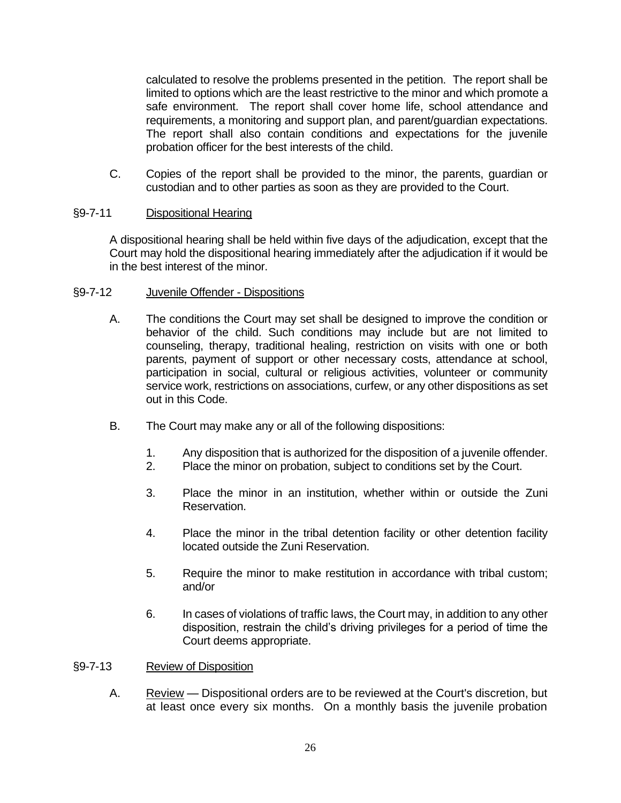calculated to resolve the problems presented in the petition. The report shall be limited to options which are the least restrictive to the minor and which promote a safe environment. The report shall cover home life, school attendance and requirements, a monitoring and support plan, and parent/guardian expectations. The report shall also contain conditions and expectations for the juvenile probation officer for the best interests of the child.

C. Copies of the report shall be provided to the minor, the parents, guardian or custodian and to other parties as soon as they are provided to the Court.

## §9-7-11 Dispositional Hearing

A dispositional hearing shall be held within five days of the adjudication, except that the Court may hold the dispositional hearing immediately after the adjudication if it would be in the best interest of the minor.

#### §9-7-12 Juvenile Offender - Dispositions

- A. The conditions the Court may set shall be designed to improve the condition or behavior of the child. Such conditions may include but are not limited to counseling, therapy, traditional healing, restriction on visits with one or both parents, payment of support or other necessary costs, attendance at school, participation in social, cultural or religious activities, volunteer or community service work, restrictions on associations, curfew, or any other dispositions as set out in this Code.
- B. The Court may make any or all of the following dispositions:
	- 1. Any disposition that is authorized for the disposition of a juvenile offender.
	- 2. Place the minor on probation, subject to conditions set by the Court.
	- 3. Place the minor in an institution, whether within or outside the Zuni Reservation.
	- 4. Place the minor in the tribal detention facility or other detention facility located outside the Zuni Reservation.
	- 5. Require the minor to make restitution in accordance with tribal custom; and/or
	- 6. In cases of violations of traffic laws, the Court may, in addition to any other disposition, restrain the child's driving privileges for a period of time the Court deems appropriate.

#### §9-7-13 Review of Disposition

A. Review — Dispositional orders are to be reviewed at the Court's discretion, but at least once every six months. On a monthly basis the juvenile probation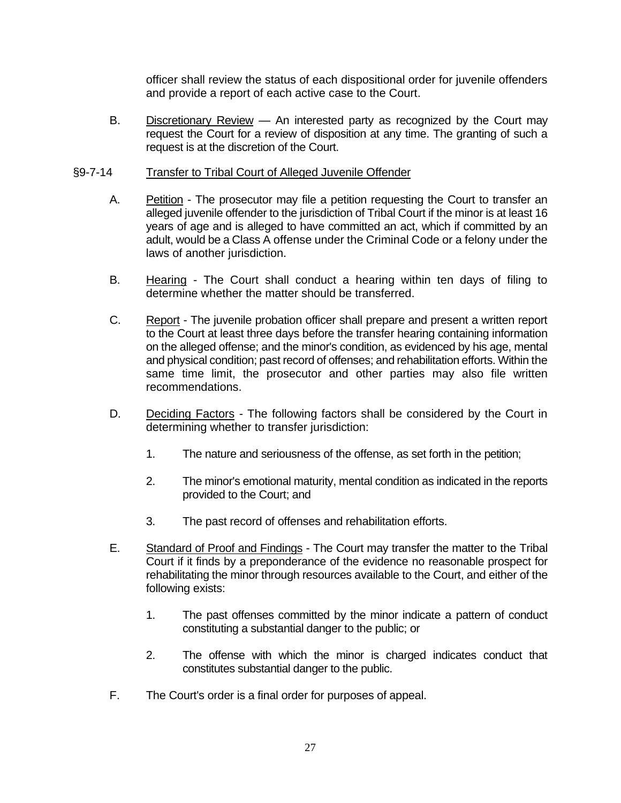officer shall review the status of each dispositional order for juvenile offenders and provide a report of each active case to the Court.

B. Discretionary Review — An interested party as recognized by the Court may request the Court for a review of disposition at any time. The granting of such a request is at the discretion of the Court.

#### §9-7-14 Transfer to Tribal Court of Alleged Juvenile Offender

- A. Petition The prosecutor may file a petition requesting the Court to transfer an alleged juvenile offender to the jurisdiction of Tribal Court if the minor is at least 16 years of age and is alleged to have committed an act, which if committed by an adult, would be a Class A offense under the Criminal Code or a felony under the laws of another jurisdiction.
- B. Hearing The Court shall conduct a hearing within ten days of filing to determine whether the matter should be transferred.
- C. Report The juvenile probation officer shall prepare and present a written report to the Court at least three days before the transfer hearing containing information on the alleged offense; and the minor's condition, as evidenced by his age, mental and physical condition; past record of offenses; and rehabilitation efforts. Within the same time limit, the prosecutor and other parties may also file written recommendations.
- D. Deciding Factors The following factors shall be considered by the Court in determining whether to transfer jurisdiction:
	- 1. The nature and seriousness of the offense, as set forth in the petition;
	- 2. The minor's emotional maturity, mental condition as indicated in the reports provided to the Court; and
	- 3. The past record of offenses and rehabilitation efforts.
- E. Standard of Proof and Findings The Court may transfer the matter to the Tribal Court if it finds by a preponderance of the evidence no reasonable prospect for rehabilitating the minor through resources available to the Court, and either of the following exists:
	- 1. The past offenses committed by the minor indicate a pattern of conduct constituting a substantial danger to the public; or
	- 2. The offense with which the minor is charged indicates conduct that constitutes substantial danger to the public.
- F. The Court's order is a final order for purposes of appeal.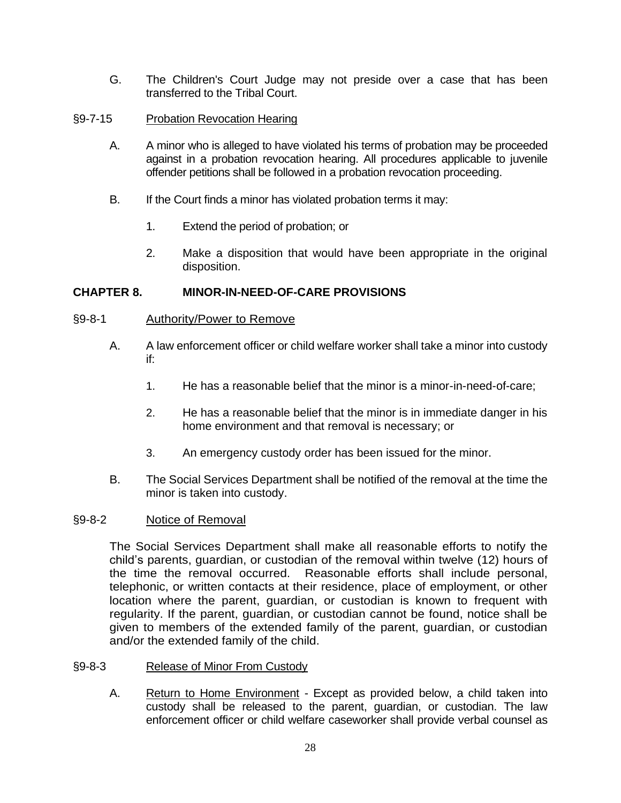- G. The Children's Court Judge may not preside over a case that has been transferred to the Tribal Court.
- §9-7-15 Probation Revocation Hearing
	- A. A minor who is alleged to have violated his terms of probation may be proceeded against in a probation revocation hearing. All procedures applicable to juvenile offender petitions shall be followed in a probation revocation proceeding.
	- B. If the Court finds a minor has violated probation terms it may:
		- 1. Extend the period of probation; or
		- 2. Make a disposition that would have been appropriate in the original disposition.

### **CHAPTER 8. MINOR-IN-NEED-OF-CARE PROVISIONS**

#### §9-8-1 Authority/Power to Remove

- A. A law enforcement officer or child welfare worker shall take a minor into custody if:
	- 1. He has a reasonable belief that the minor is a minor-in-need-of-care;
	- 2. He has a reasonable belief that the minor is in immediate danger in his home environment and that removal is necessary; or
	- 3. An emergency custody order has been issued for the minor.
- B. The Social Services Department shall be notified of the removal at the time the minor is taken into custody.

#### §9-8-2 Notice of Removal

The Social Services Department shall make all reasonable efforts to notify the child's parents, guardian, or custodian of the removal within twelve (12) hours of the time the removal occurred. Reasonable efforts shall include personal, telephonic, or written contacts at their residence, place of employment, or other location where the parent, guardian, or custodian is known to frequent with regularity. If the parent, guardian, or custodian cannot be found, notice shall be given to members of the extended family of the parent, guardian, or custodian and/or the extended family of the child.

- §9-8-3 Release of Minor From Custody
	- A. Return to Home Environment Except as provided below, a child taken into custody shall be released to the parent, guardian, or custodian. The law enforcement officer or child welfare caseworker shall provide verbal counsel as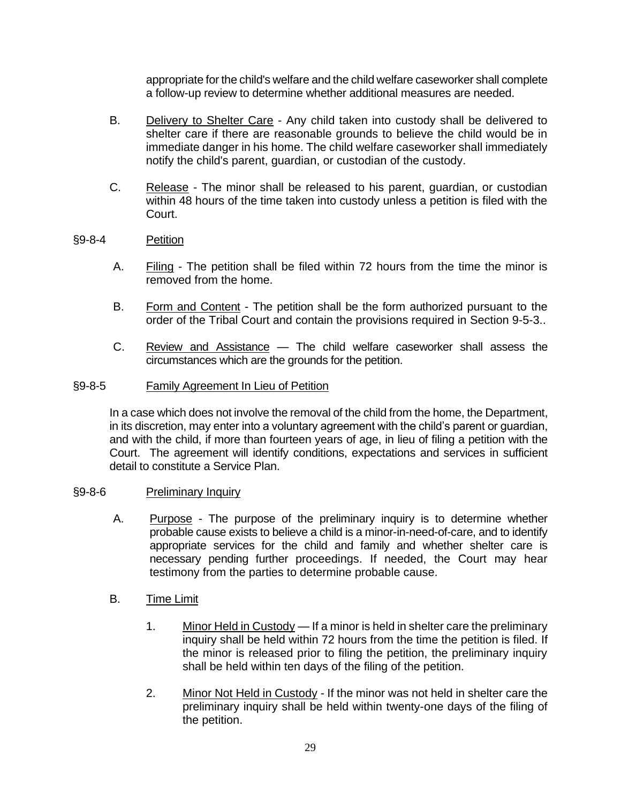appropriate for the child's welfare and the child welfare caseworker shall complete a follow-up review to determine whether additional measures are needed.

- B. Delivery to Shelter Care Any child taken into custody shall be delivered to shelter care if there are reasonable grounds to believe the child would be in immediate danger in his home. The child welfare caseworker shall immediately notify the child's parent, guardian, or custodian of the custody.
- C. Release The minor shall be released to his parent, guardian, or custodian within 48 hours of the time taken into custody unless a petition is filed with the Court.

### §9-8-4 Petition

- A. Filing The petition shall be filed within 72 hours from the time the minor is removed from the home.
- B. Form and Content The petition shall be the form authorized pursuant to the order of the Tribal Court and contain the provisions required in Section 9-5-3..
- C. Review and Assistance The child welfare caseworker shall assess the circumstances which are the grounds for the petition.

#### §9-8-5 Family Agreement In Lieu of Petition

In a case which does not involve the removal of the child from the home, the Department, in its discretion, may enter into a voluntary agreement with the child's parent or guardian, and with the child, if more than fourteen years of age, in lieu of filing a petition with the Court. The agreement will identify conditions, expectations and services in sufficient detail to constitute a Service Plan.

#### §9-8-6 Preliminary Inquiry

- A. Purpose The purpose of the preliminary inquiry is to determine whether probable cause exists to believe a child is a minor-in-need-of-care, and to identify appropriate services for the child and family and whether shelter care is necessary pending further proceedings. If needed, the Court may hear testimony from the parties to determine probable cause.
- B. Time Limit
	- 1. Minor Held in Custody If a minor is held in shelter care the preliminary inquiry shall be held within 72 hours from the time the petition is filed. If the minor is released prior to filing the petition, the preliminary inquiry shall be held within ten days of the filing of the petition.
	- 2. Minor Not Held in Custody If the minor was not held in shelter care the preliminary inquiry shall be held within twenty-one days of the filing of the petition.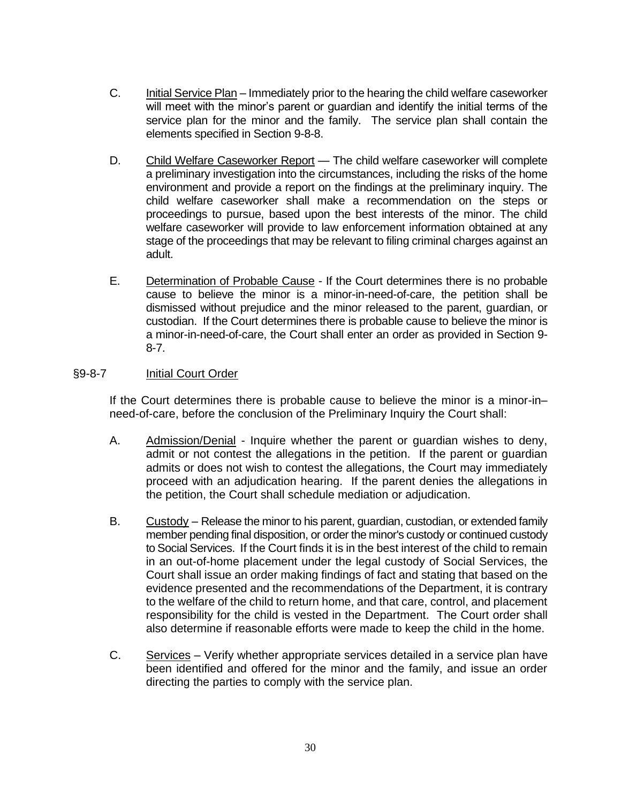- C. Initial Service Plan Immediately prior to the hearing the child welfare caseworker will meet with the minor's parent or guardian and identify the initial terms of the service plan for the minor and the family. The service plan shall contain the elements specified in Section 9-8-8.
- D. Child Welfare Caseworker Report The child welfare caseworker will complete a preliminary investigation into the circumstances, including the risks of the home environment and provide a report on the findings at the preliminary inquiry. The child welfare caseworker shall make a recommendation on the steps or proceedings to pursue, based upon the best interests of the minor. The child welfare caseworker will provide to law enforcement information obtained at any stage of the proceedings that may be relevant to filing criminal charges against an adult.
- E. Determination of Probable Cause If the Court determines there is no probable cause to believe the minor is a minor-in-need-of-care, the petition shall be dismissed without prejudice and the minor released to the parent, guardian, or custodian. If the Court determines there is probable cause to believe the minor is a minor-in-need-of-care, the Court shall enter an order as provided in Section 9- 8-7.

### §9-8-7 Initial Court Order

If the Court determines there is probable cause to believe the minor is a minor-in– need-of-care, before the conclusion of the Preliminary Inquiry the Court shall:

- A. Admission/Denial Inquire whether the parent or guardian wishes to deny, admit or not contest the allegations in the petition. If the parent or guardian admits or does not wish to contest the allegations, the Court may immediately proceed with an adjudication hearing. If the parent denies the allegations in the petition, the Court shall schedule mediation or adjudication.
- B. Custody Release the minor to his parent, guardian, custodian, or extended family member pending final disposition, or order the minor's custody or continued custody to Social Services.If the Court finds it is in the best interest of the child to remain in an out-of-home placement under the legal custody of Social Services, the Court shall issue an order making findings of fact and stating that based on the evidence presented and the recommendations of the Department, it is contrary to the welfare of the child to return home, and that care, control, and placement responsibility for the child is vested in the Department. The Court order shall also determine if reasonable efforts were made to keep the child in the home.
- C. Services Verify whether appropriate services detailed in a service plan have been identified and offered for the minor and the family, and issue an order directing the parties to comply with the service plan.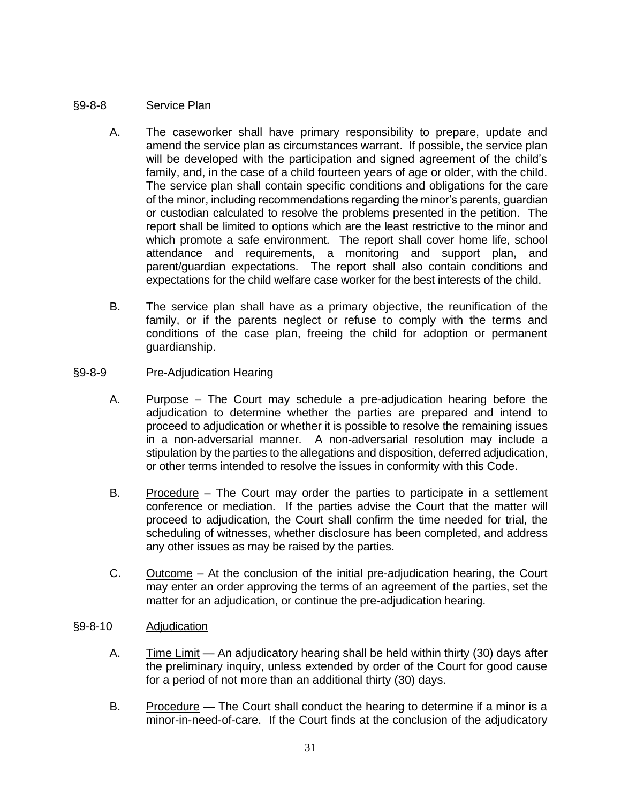## §9-8-8 Service Plan

- A. The caseworker shall have primary responsibility to prepare, update and amend the service plan as circumstances warrant. If possible, the service plan will be developed with the participation and signed agreement of the child's family, and, in the case of a child fourteen years of age or older, with the child. The service plan shall contain specific conditions and obligations for the care of the minor, including recommendations regarding the minor's parents, guardian or custodian calculated to resolve the problems presented in the petition. The report shall be limited to options which are the least restrictive to the minor and which promote a safe environment. The report shall cover home life, school attendance and requirements, a monitoring and support plan, and parent/guardian expectations. The report shall also contain conditions and expectations for the child welfare case worker for the best interests of the child.
- B. The service plan shall have as a primary objective, the reunification of the family, or if the parents neglect or refuse to comply with the terms and conditions of the case plan, freeing the child for adoption or permanent guardianship.

#### §9-8-9 Pre-Adjudication Hearing

- A. Purpose The Court may schedule a pre-adjudication hearing before the adjudication to determine whether the parties are prepared and intend to proceed to adjudication or whether it is possible to resolve the remaining issues in a non-adversarial manner. A non-adversarial resolution may include a stipulation by the parties to the allegations and disposition, deferred adjudication, or other terms intended to resolve the issues in conformity with this Code.
- B. Procedure The Court may order the parties to participate in a settlement conference or mediation. If the parties advise the Court that the matter will proceed to adjudication, the Court shall confirm the time needed for trial, the scheduling of witnesses, whether disclosure has been completed, and address any other issues as may be raised by the parties.
- C. Outcome At the conclusion of the initial pre-adjudication hearing, the Court may enter an order approving the terms of an agreement of the parties, set the matter for an adjudication, or continue the pre-adjudication hearing.

#### §9-8-10 Adjudication

- A. Time Limit An adjudicatory hearing shall be held within thirty (30) days after the preliminary inquiry, unless extended by order of the Court for good cause for a period of not more than an additional thirty (30) days.
- B. Procedure The Court shall conduct the hearing to determine if a minor is a minor-in-need-of-care. If the Court finds at the conclusion of the adjudicatory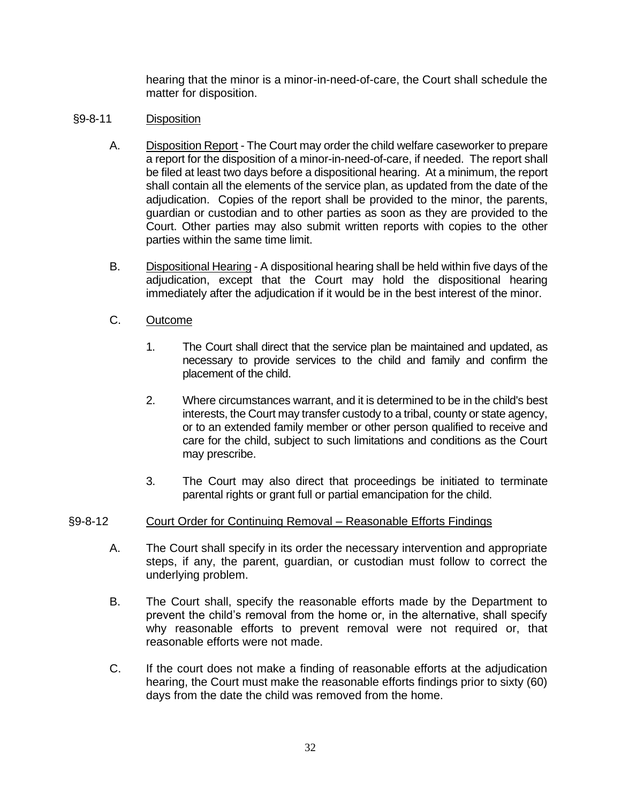hearing that the minor is a minor-in-need-of-care, the Court shall schedule the matter for disposition.

### §9-8-11 Disposition

- A. Disposition Report The Court may order the child welfare caseworker to prepare a report for the disposition of a minor-in-need-of-care, if needed. The report shall be filed at least two days before a dispositional hearing. At a minimum, the report shall contain all the elements of the service plan, as updated from the date of the adjudication. Copies of the report shall be provided to the minor, the parents, guardian or custodian and to other parties as soon as they are provided to the Court. Other parties may also submit written reports with copies to the other parties within the same time limit.
- B. Dispositional Hearing A dispositional hearing shall be held within five days of the adjudication, except that the Court may hold the dispositional hearing immediately after the adjudication if it would be in the best interest of the minor.

### C. Outcome

- 1. The Court shall direct that the service plan be maintained and updated, as necessary to provide services to the child and family and confirm the placement of the child.
- 2. Where circumstances warrant, and it is determined to be in the child's best interests, the Court may transfer custody to a tribal, county or state agency, or to an extended family member or other person qualified to receive and care for the child, subject to such limitations and conditions as the Court may prescribe.
- 3. The Court may also direct that proceedings be initiated to terminate parental rights or grant full or partial emancipation for the child.

## §9-8-12 Court Order for Continuing Removal – Reasonable Efforts Findings

- A. The Court shall specify in its order the necessary intervention and appropriate steps, if any, the parent, guardian, or custodian must follow to correct the underlying problem.
- B. The Court shall, specify the reasonable efforts made by the Department to prevent the child's removal from the home or, in the alternative, shall specify why reasonable efforts to prevent removal were not required or, that reasonable efforts were not made.
- C. If the court does not make a finding of reasonable efforts at the adjudication hearing, the Court must make the reasonable efforts findings prior to sixty (60) days from the date the child was removed from the home.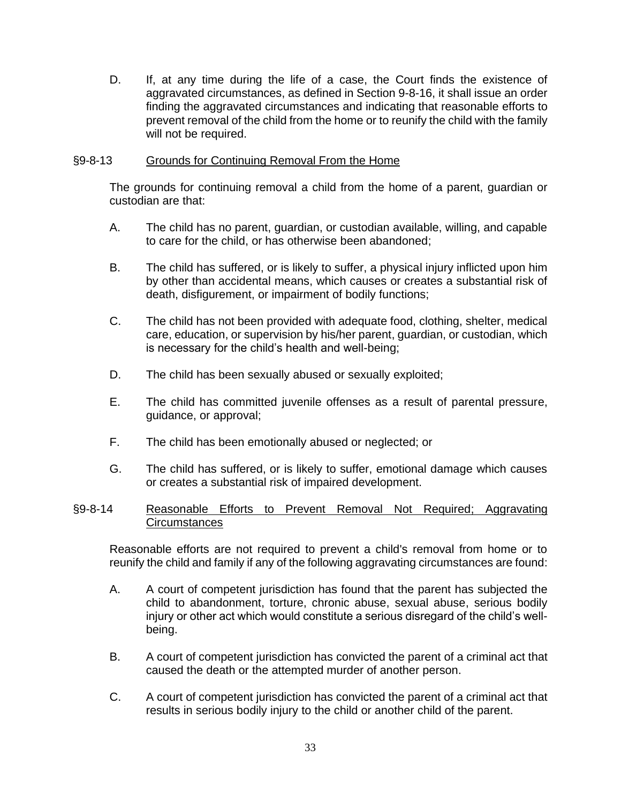D. If, at any time during the life of a case, the Court finds the existence of aggravated circumstances, as defined in Section 9-8-16, it shall issue an order finding the aggravated circumstances and indicating that reasonable efforts to prevent removal of the child from the home or to reunify the child with the family will not be required.

#### §9-8-13 Grounds for Continuing Removal From the Home

The grounds for continuing removal a child from the home of a parent, guardian or custodian are that:

- A. The child has no parent, guardian, or custodian available, willing, and capable to care for the child, or has otherwise been abandoned;
- B. The child has suffered, or is likely to suffer, a physical injury inflicted upon him by other than accidental means, which causes or creates a substantial risk of death, disfigurement, or impairment of bodily functions;
- C. The child has not been provided with adequate food, clothing, shelter, medical care, education, or supervision by his/her parent, guardian, or custodian, which is necessary for the child's health and well-being;
- D. The child has been sexually abused or sexually exploited;
- E. The child has committed juvenile offenses as a result of parental pressure, guidance, or approval;
- F. The child has been emotionally abused or neglected; or
- G. The child has suffered, or is likely to suffer, emotional damage which causes or creates a substantial risk of impaired development.

#### §9-8-14 Reasonable Efforts to Prevent Removal Not Required; Aggravating Circumstances

Reasonable efforts are not required to prevent a child's removal from home or to reunify the child and family if any of the following aggravating circumstances are found:

- A. A court of competent jurisdiction has found that the parent has subjected the child to abandonment, torture, chronic abuse, sexual abuse, serious bodily injury or other act which would constitute a serious disregard of the child's wellbeing.
- B. A court of competent jurisdiction has convicted the parent of a criminal act that caused the death or the attempted murder of another person.
- C. A court of competent jurisdiction has convicted the parent of a criminal act that results in serious bodily injury to the child or another child of the parent.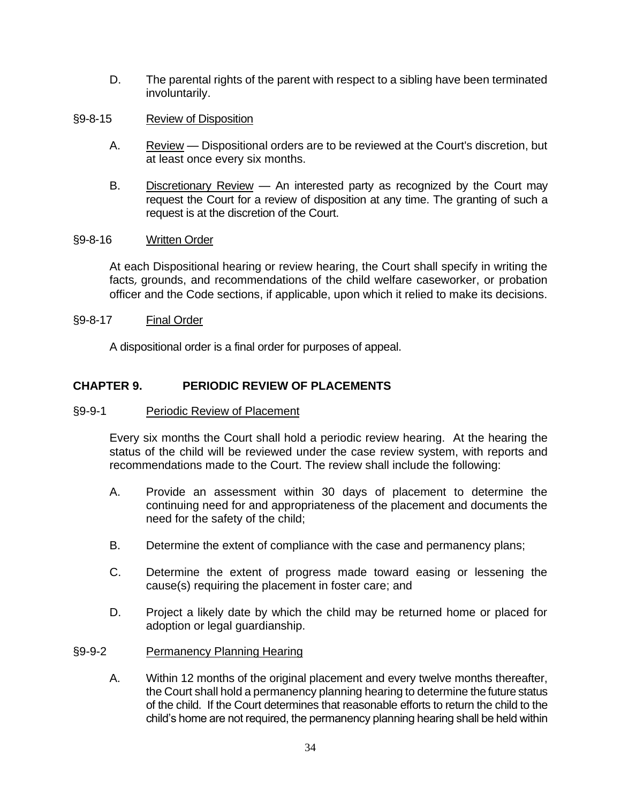- D. The parental rights of the parent with respect to a sibling have been terminated involuntarily.
- §9-8-15 Review of Disposition
	- A. Review Dispositional orders are to be reviewed at the Court's discretion, but at least once every six months.
	- B. Discretionary Review An interested party as recognized by the Court may request the Court for a review of disposition at any time. The granting of such a request is at the discretion of the Court.

#### §9-8-16 Written Order

At each Dispositional hearing or review hearing, the Court shall specify in writing the facts, grounds, and recommendations of the child welfare caseworker, or probation officer and the Code sections, if applicable, upon which it relied to make its decisions.

#### §9-8-17 Final Order

A dispositional order is a final order for purposes of appeal.

## **CHAPTER 9. PERIODIC REVIEW OF PLACEMENTS**

#### §9-9-1 Periodic Review of Placement

Every six months the Court shall hold a periodic review hearing. At the hearing the status of the child will be reviewed under the case review system, with reports and recommendations made to the Court. The review shall include the following:

- A. Provide an assessment within 30 days of placement to determine the continuing need for and appropriateness of the placement and documents the need for the safety of the child;
- B. Determine the extent of compliance with the case and permanency plans;
- C. Determine the extent of progress made toward easing or lessening the cause(s) requiring the placement in foster care; and
- D. Project a likely date by which the child may be returned home or placed for adoption or legal guardianship.

#### §9-9-2 Permanency Planning Hearing

A. Within 12 months of the original placement and every twelve months thereafter, the Court shall hold a permanency planning hearing to determine the future status of the child. If the Court determines that reasonable efforts to return the child to the child's home are not required, the permanency planning hearing shall be held within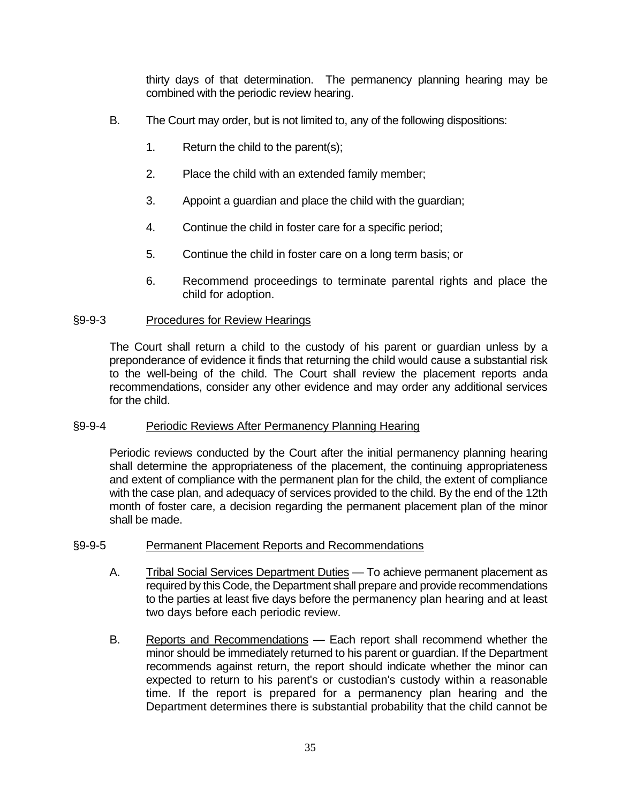thirty days of that determination. The permanency planning hearing may be combined with the periodic review hearing.

- B. The Court may order, but is not limited to, any of the following dispositions:
	- 1. Return the child to the parent(s);
	- 2. Place the child with an extended family member;
	- 3. Appoint a guardian and place the child with the guardian;
	- 4. Continue the child in foster care for a specific period;
	- 5. Continue the child in foster care on a long term basis; or
	- 6. Recommend proceedings to terminate parental rights and place the child for adoption.

## §9-9-3 Procedures for Review Hearings

The Court shall return a child to the custody of his parent or guardian unless by a preponderance of evidence it finds that returning the child would cause a substantial risk to the well-being of the child. The Court shall review the placement reports anda recommendations, consider any other evidence and may order any additional services for the child.

## §9-9-4 Periodic Reviews After Permanency Planning Hearing

Periodic reviews conducted by the Court after the initial permanency planning hearing shall determine the appropriateness of the placement, the continuing appropriateness and extent of compliance with the permanent plan for the child, the extent of compliance with the case plan, and adequacy of services provided to the child. By the end of the 12th month of foster care, a decision regarding the permanent placement plan of the minor shall be made.

#### §9-9-5 Permanent Placement Reports and Recommendations

- A. Tribal Social Services Department Duties To achieve permanent placement as required by this Code, the Department shall prepare and provide recommendations to the parties at least five days before the permanency plan hearing and at least two days before each periodic review.
- B. Reports and Recommendations Each report shall recommend whether the minor should be immediately returned to his parent or guardian. If the Department recommends against return, the report should indicate whether the minor can expected to return to his parent's or custodian's custody within a reasonable time. If the report is prepared for a permanency plan hearing and the Department determines there is substantial probability that the child cannot be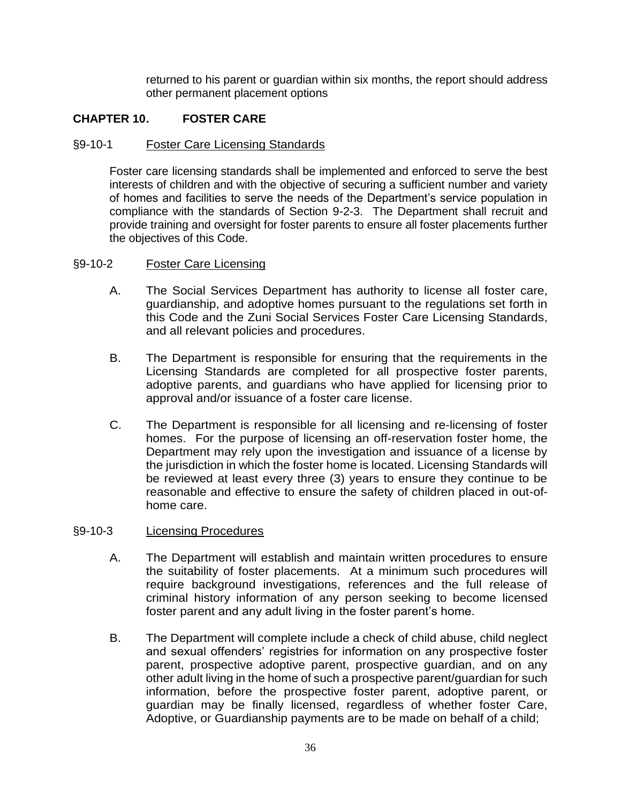returned to his parent or guardian within six months, the report should address other permanent placement options

## **CHAPTER 10. FOSTER CARE**

#### §9-10-1 Foster Care Licensing Standards

Foster care licensing standards shall be implemented and enforced to serve the best interests of children and with the objective of securing a sufficient number and variety of homes and facilities to serve the needs of the Department's service population in compliance with the standards of Section 9-2-3. The Department shall recruit and provide training and oversight for foster parents to ensure all foster placements further the objectives of this Code.

### §9-10-2 Foster Care Licensing

- A. The Social Services Department has authority to license all foster care, guardianship, and adoptive homes pursuant to the regulations set forth in this Code and the Zuni Social Services Foster Care Licensing Standards, and all relevant policies and procedures.
- B. The Department is responsible for ensuring that the requirements in the Licensing Standards are completed for all prospective foster parents, adoptive parents, and guardians who have applied for licensing prior to approval and/or issuance of a foster care license.
- C. The Department is responsible for all licensing and re-licensing of foster homes. For the purpose of licensing an off-reservation foster home, the Department may rely upon the investigation and issuance of a license by the jurisdiction in which the foster home is located. Licensing Standards will be reviewed at least every three (3) years to ensure they continue to be reasonable and effective to ensure the safety of children placed in out-ofhome care.

### §9-10-3 Licensing Procedures

- A. The Department will establish and maintain written procedures to ensure the suitability of foster placements. At a minimum such procedures will require background investigations, references and the full release of criminal history information of any person seeking to become licensed foster parent and any adult living in the foster parent's home.
- B. The Department will complete include a check of child abuse, child neglect and sexual offenders' registries for information on any prospective foster parent, prospective adoptive parent, prospective guardian, and on any other adult living in the home of such a prospective parent/guardian for such information, before the prospective foster parent, adoptive parent, or guardian may be finally licensed, regardless of whether foster Care, Adoptive, or Guardianship payments are to be made on behalf of a child;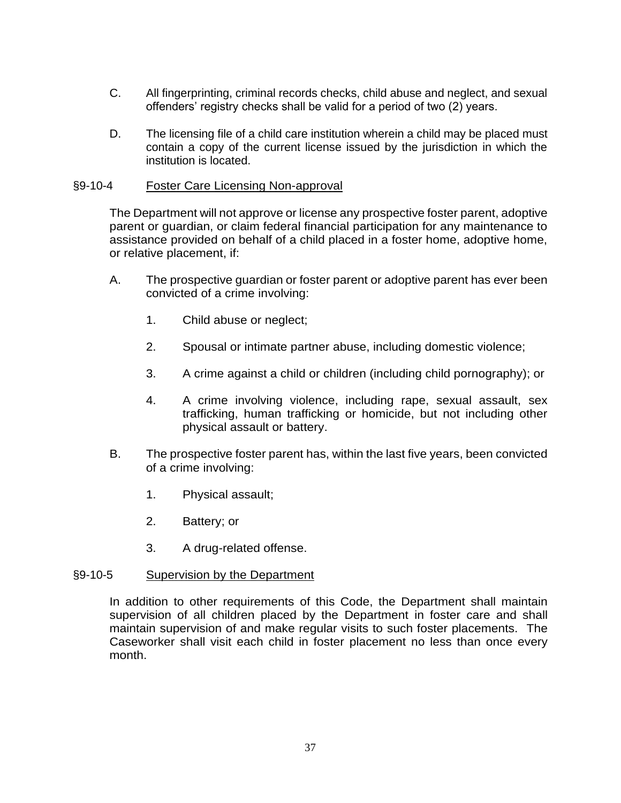- C. All fingerprinting, criminal records checks, child abuse and neglect, and sexual offenders' registry checks shall be valid for a period of two (2) years.
- D. The licensing file of a child care institution wherein a child may be placed must contain a copy of the current license issued by the jurisdiction in which the institution is located.

#### §9-10-4 Foster Care Licensing Non-approval

The Department will not approve or license any prospective foster parent, adoptive parent or guardian, or claim federal financial participation for any maintenance to assistance provided on behalf of a child placed in a foster home, adoptive home, or relative placement, if:

- A. The prospective guardian or foster parent or adoptive parent has ever been convicted of a crime involving:
	- 1. Child abuse or neglect;
	- 2. Spousal or intimate partner abuse, including domestic violence;
	- 3. A crime against a child or children (including child pornography); or
	- 4. A crime involving violence, including rape, sexual assault, sex trafficking, human trafficking or homicide, but not including other physical assault or battery.
- B. The prospective foster parent has, within the last five years, been convicted of a crime involving:
	- 1. Physical assault;
	- 2. Battery; or
	- 3. A drug-related offense.

#### §9-10-5 Supervision by the Department

In addition to other requirements of this Code, the Department shall maintain supervision of all children placed by the Department in foster care and shall maintain supervision of and make regular visits to such foster placements. The Caseworker shall visit each child in foster placement no less than once every month.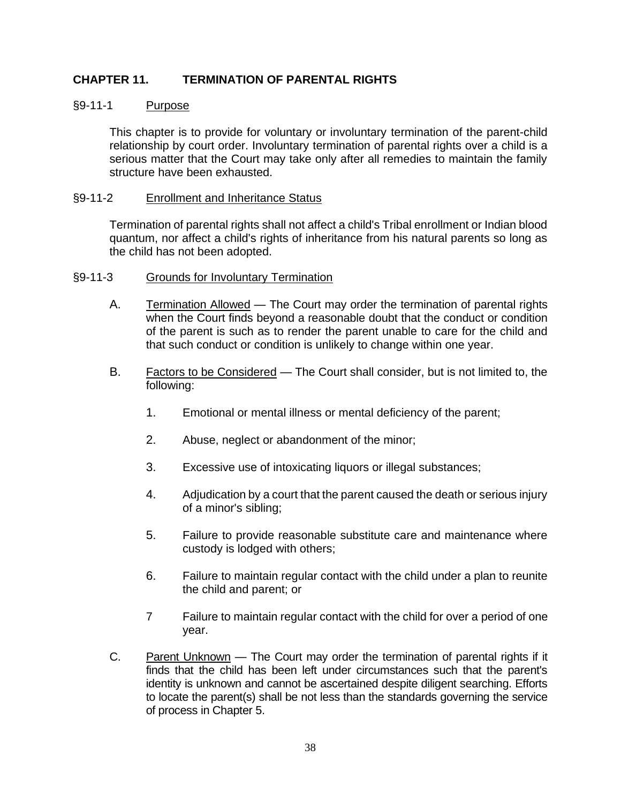## **CHAPTER 11. TERMINATION OF PARENTAL RIGHTS**

#### §9-11-1 Purpose

This chapter is to provide for voluntary or involuntary termination of the parent-child relationship by court order. Involuntary termination of parental rights over a child is a serious matter that the Court may take only after all remedies to maintain the family structure have been exhausted.

#### §9-11-2 Enrollment and Inheritance Status

Termination of parental rights shall not affect a child's Tribal enrollment or Indian blood quantum, nor affect a child's rights of inheritance from his natural parents so long as the child has not been adopted.

#### §9-11-3 Grounds for Involuntary Termination

- A. Termination Allowed The Court may order the termination of parental rights when the Court finds beyond a reasonable doubt that the conduct or condition of the parent is such as to render the parent unable to care for the child and that such conduct or condition is unlikely to change within one year.
- B. Factors to be Considered The Court shall consider, but is not limited to, the following:
	- 1. Emotional or mental illness or mental deficiency of the parent;
	- 2. Abuse, neglect or abandonment of the minor;
	- 3. Excessive use of intoxicating liquors or illegal substances;
	- 4. Adjudication by a court that the parent caused the death or serious injury of a minor's sibling;
	- 5. Failure to provide reasonable substitute care and maintenance where custody is lodged with others;
	- 6. Failure to maintain regular contact with the child under a plan to reunite the child and parent; or
	- 7 Failure to maintain regular contact with the child for over a period of one year.
- C. Parent Unknown The Court may order the termination of parental rights if it finds that the child has been left under circumstances such that the parent's identity is unknown and cannot be ascertained despite diligent searching. Efforts to locate the parent(s) shall be not less than the standards governing the service of process in Chapter 5.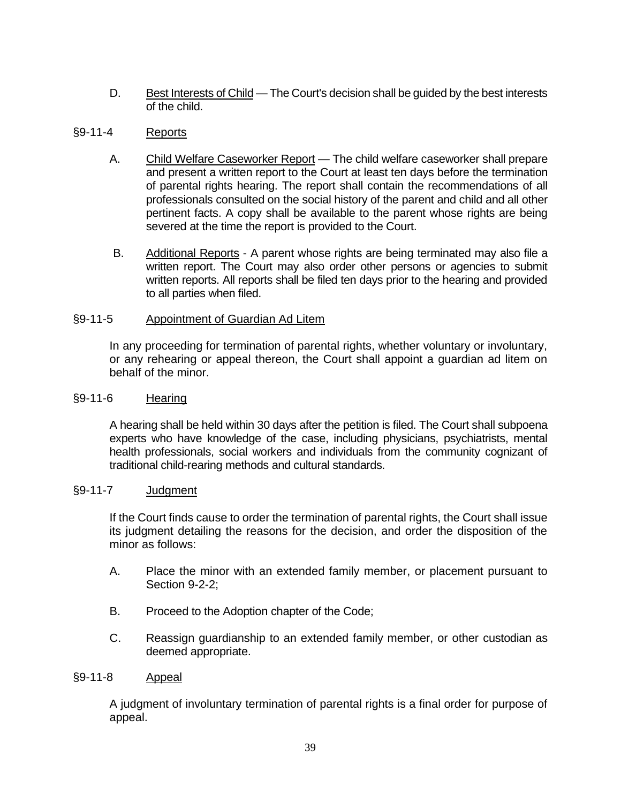D. Best Interests of Child — The Court's decision shall be guided by the best interests of the child.

## §9-11-4 Reports

- A. Child Welfare Caseworker Report The child welfare caseworker shall prepare and present a written report to the Court at least ten days before the termination of parental rights hearing. The report shall contain the recommendations of all professionals consulted on the social history of the parent and child and all other pertinent facts. A copy shall be available to the parent whose rights are being severed at the time the report is provided to the Court.
- B. Additional Reports A parent whose rights are being terminated may also file a written report. The Court may also order other persons or agencies to submit written reports. All reports shall be filed ten days prior to the hearing and provided to all parties when filed.

#### §9-11-5 Appointment of Guardian Ad Litem

In any proceeding for termination of parental rights, whether voluntary or involuntary, or any rehearing or appeal thereon, the Court shall appoint a guardian ad litem on behalf of the minor.

#### §9-11-6 Hearing

A hearing shall be held within 30 days after the petition is filed. The Court shall subpoena experts who have knowledge of the case, including physicians, psychiatrists, mental health professionals, social workers and individuals from the community cognizant of traditional child-rearing methods and cultural standards.

#### §9-11-7 Judgment

If the Court finds cause to order the termination of parental rights, the Court shall issue its judgment detailing the reasons for the decision, and order the disposition of the minor as follows:

- A. Place the minor with an extended family member, or placement pursuant to Section 9-2-2;
- B. Proceed to the Adoption chapter of the Code;
- C. Reassign guardianship to an extended family member, or other custodian as deemed appropriate.

#### §9-11-8 Appeal

A judgment of involuntary termination of parental rights is a final order for purpose of appeal.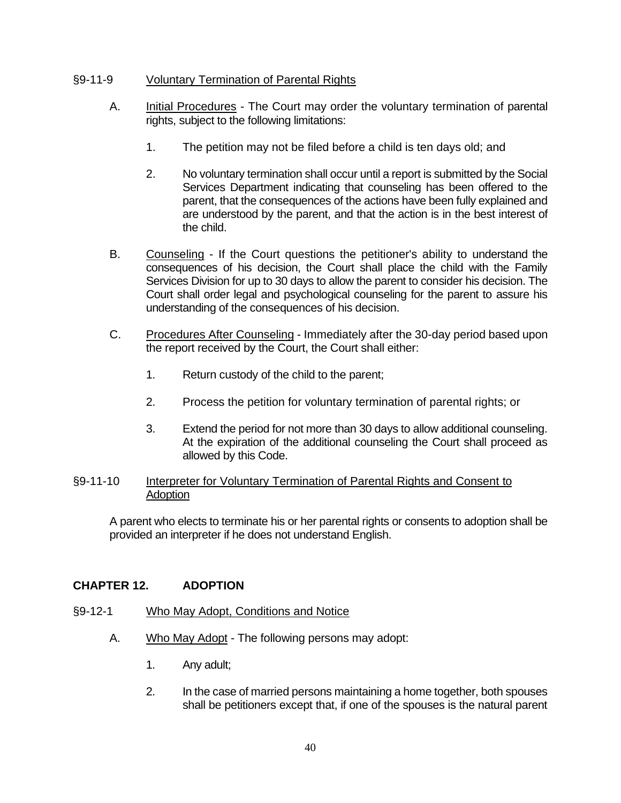### §9-11-9 Voluntary Termination of Parental Rights

- A. Initial Procedures The Court may order the voluntary termination of parental rights, subject to the following limitations:
	- 1. The petition may not be filed before a child is ten days old; and
	- 2. No voluntary termination shall occur until a report is submitted by the Social Services Department indicating that counseling has been offered to the parent, that the consequences of the actions have been fully explained and are understood by the parent, and that the action is in the best interest of the child.
- B. Counseling If the Court questions the petitioner's ability to understand the consequences of his decision, the Court shall place the child with the Family Services Division for up to 30 days to allow the parent to consider his decision. The Court shall order legal and psychological counseling for the parent to assure his understanding of the consequences of his decision.
- C. Procedures After Counseling Immediately after the 30-day period based upon the report received by the Court, the Court shall either:
	- 1. Return custody of the child to the parent;
	- 2. Process the petition for voluntary termination of parental rights; or
	- 3. Extend the period for not more than 30 days to allow additional counseling. At the expiration of the additional counseling the Court shall proceed as allowed by this Code.

#### §9-11-10 Interpreter for Voluntary Termination of Parental Rights and Consent to Adoption

A parent who elects to terminate his or her parental rights or consents to adoption shall be provided an interpreter if he does not understand English.

## **CHAPTER 12. ADOPTION**

- §9-12-1 Who May Adopt, Conditions and Notice
	- A. Who May Adopt The following persons may adopt:
		- 1. Any adult;
		- 2. In the case of married persons maintaining a home together, both spouses shall be petitioners except that, if one of the spouses is the natural parent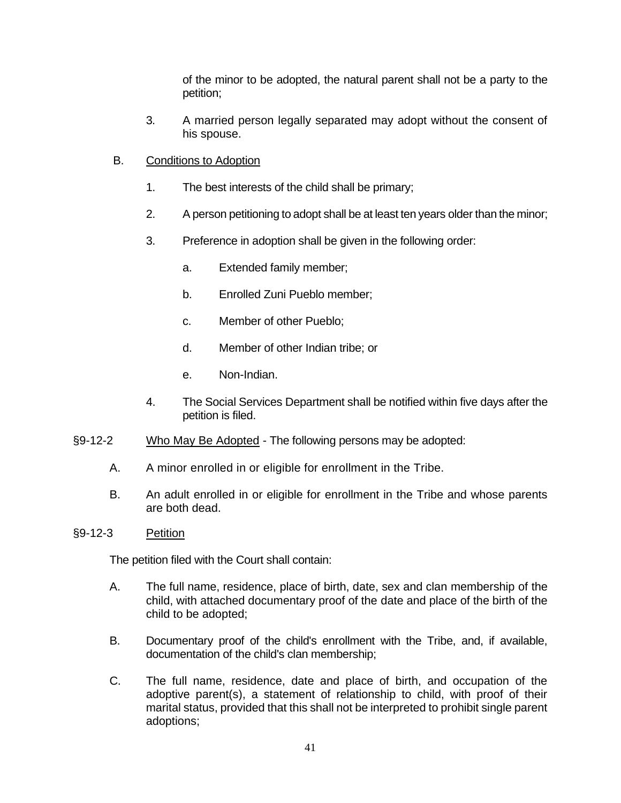of the minor to be adopted, the natural parent shall not be a party to the petition;

- 3. A married person legally separated may adopt without the consent of his spouse.
- B. Conditions to Adoption
	- 1. The best interests of the child shall be primary;
	- 2. A person petitioning to adopt shall be at least ten years older than the minor;
	- 3. Preference in adoption shall be given in the following order:
		- a. Extended family member;
		- b. Enrolled Zuni Pueblo member;
		- c. Member of other Pueblo;
		- d. Member of other Indian tribe; or
		- e. Non-Indian.
	- 4. The Social Services Department shall be notified within five days after the petition is filed.
- §9-12-2 Who May Be Adopted The following persons may be adopted:
	- A. A minor enrolled in or eligible for enrollment in the Tribe.
	- B. An adult enrolled in or eligible for enrollment in the Tribe and whose parents are both dead.
- §9-12-3 Petition

The petition filed with the Court shall contain:

- A. The full name, residence, place of birth, date, sex and clan membership of the child, with attached documentary proof of the date and place of the birth of the child to be adopted;
- B. Documentary proof of the child's enrollment with the Tribe, and, if available, documentation of the child's clan membership;
- C. The full name, residence, date and place of birth, and occupation of the adoptive parent(s), a statement of relationship to child, with proof of their marital status, provided that this shall not be interpreted to prohibit single parent adoptions;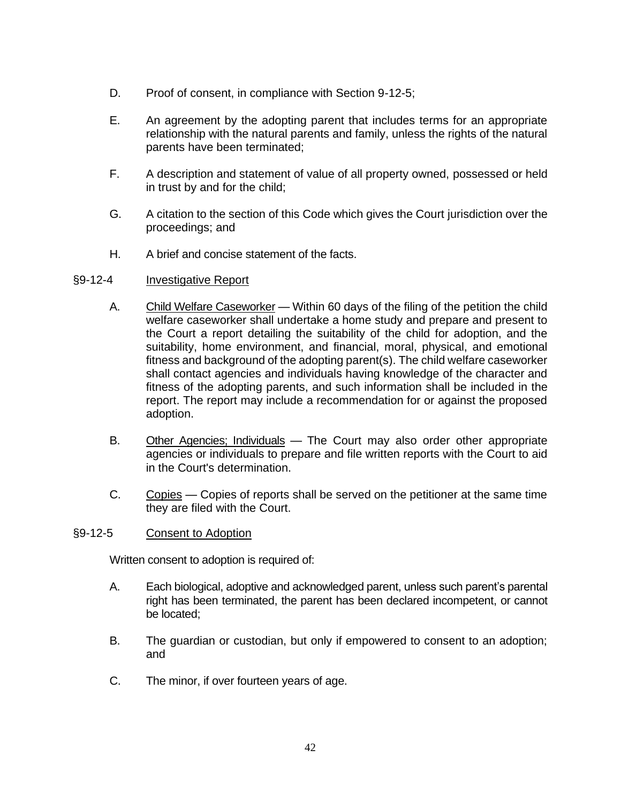- D. Proof of consent, in compliance with Section 9-12-5;
- E. An agreement by the adopting parent that includes terms for an appropriate relationship with the natural parents and family, unless the rights of the natural parents have been terminated;
- F. A description and statement of value of all property owned, possessed or held in trust by and for the child;
- G. A citation to the section of this Code which gives the Court jurisdiction over the proceedings; and
- H. A brief and concise statement of the facts.

#### §9-12-4 Investigative Report

- A. Child Welfare Caseworker Within 60 days of the filing of the petition the child welfare caseworker shall undertake a home study and prepare and present to the Court a report detailing the suitability of the child for adoption, and the suitability, home environment, and financial, moral, physical, and emotional fitness and background of the adopting parent(s). The child welfare caseworker shall contact agencies and individuals having knowledge of the character and fitness of the adopting parents, and such information shall be included in the report. The report may include a recommendation for or against the proposed adoption.
- B. Other Agencies; Individuals The Court may also order other appropriate agencies or individuals to prepare and file written reports with the Court to aid in the Court's determination.
- C. Copies Copies of reports shall be served on the petitioner at the same time they are filed with the Court.

#### §9-12-5 Consent to Adoption

Written consent to adoption is required of:

- A. Each biological, adoptive and acknowledged parent, unless such parent's parental right has been terminated, the parent has been declared incompetent, or cannot be located;
- B. The guardian or custodian, but only if empowered to consent to an adoption; and
- C. The minor, if over fourteen years of age.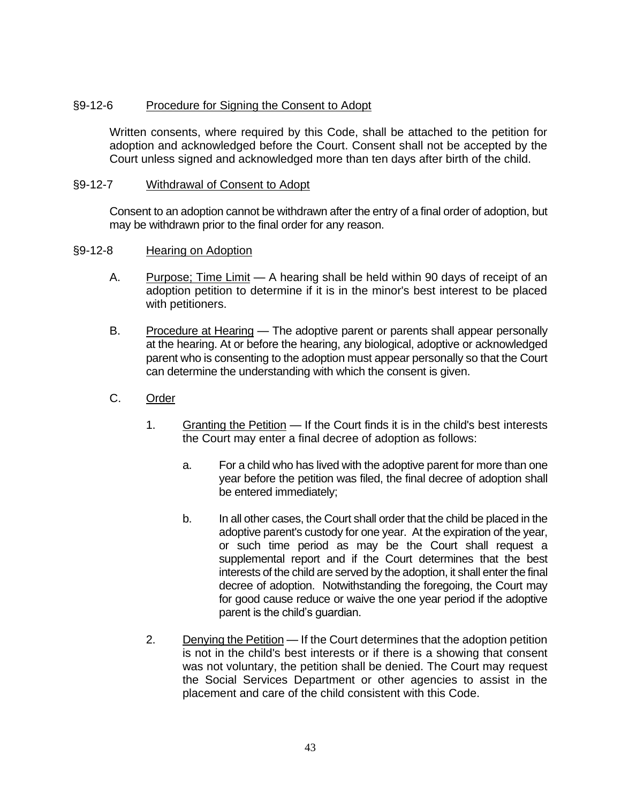### §9-12-6 Procedure for Signing the Consent to Adopt

Written consents, where required by this Code, shall be attached to the petition for adoption and acknowledged before the Court. Consent shall not be accepted by the Court unless signed and acknowledged more than ten days after birth of the child.

#### §9-12-7 Withdrawal of Consent to Adopt

Consent to an adoption cannot be withdrawn after the entry of a final order of adoption, but may be withdrawn prior to the final order for any reason.

#### §9-12-8 Hearing on Adoption

- A. Purpose; Time Limit A hearing shall be held within 90 days of receipt of an adoption petition to determine if it is in the minor's best interest to be placed with petitioners.
- B. Procedure at Hearing The adoptive parent or parents shall appear personally at the hearing. At or before the hearing, any biological, adoptive or acknowledged parent who is consenting to the adoption must appear personally so that the Court can determine the understanding with which the consent is given.
- C. Order
	- 1. Granting the Petition If the Court finds it is in the child's best interests the Court may enter a final decree of adoption as follows:
		- a. For a child who has lived with the adoptive parent for more than one year before the petition was filed, the final decree of adoption shall be entered immediately;
		- b. In all other cases, the Court shall order that the child be placed in the adoptive parent's custody for one year. At the expiration of the year, or such time period as may be the Court shall request a supplemental report and if the Court determines that the best interests of the child are served by the adoption, it shall enter the final decree of adoption. Notwithstanding the foregoing, the Court may for good cause reduce or waive the one year period if the adoptive parent is the child's guardian.
	- 2. Denying the Petition If the Court determines that the adoption petition is not in the child's best interests or if there is a showing that consent was not voluntary, the petition shall be denied. The Court may request the Social Services Department or other agencies to assist in the placement and care of the child consistent with this Code.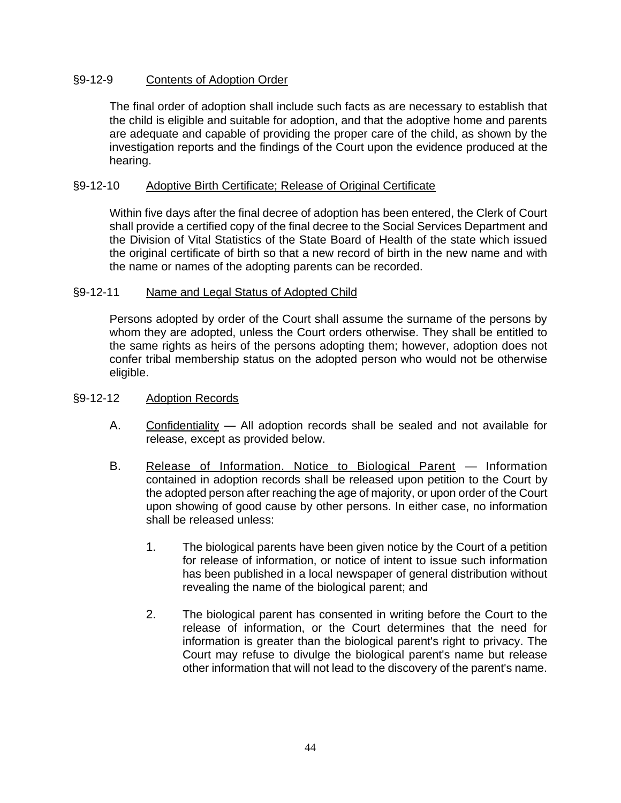## §9-12-9 Contents of Adoption Order

The final order of adoption shall include such facts as are necessary to establish that the child is eligible and suitable for adoption, and that the adoptive home and parents are adequate and capable of providing the proper care of the child, as shown by the investigation reports and the findings of the Court upon the evidence produced at the hearing.

#### §9-12-10 Adoptive Birth Certificate; Release of Original Certificate

Within five days after the final decree of adoption has been entered, the Clerk of Court shall provide a certified copy of the final decree to the Social Services Department and the Division of Vital Statistics of the State Board of Health of the state which issued the original certificate of birth so that a new record of birth in the new name and with the name or names of the adopting parents can be recorded.

#### §9-12-11 Name and Legal Status of Adopted Child

Persons adopted by order of the Court shall assume the surname of the persons by whom they are adopted, unless the Court orders otherwise. They shall be entitled to the same rights as heirs of the persons adopting them; however, adoption does not confer tribal membership status on the adopted person who would not be otherwise eligible.

#### §9-12-12 Adoption Records

- A. Confidentiality All adoption records shall be sealed and not available for release, except as provided below.
- B. Release of Information. Notice to Biological Parent Information contained in adoption records shall be released upon petition to the Court by the adopted person after reaching the age of majority, or upon order of the Court upon showing of good cause by other persons. In either case, no information shall be released unless:
	- 1. The biological parents have been given notice by the Court of a petition for release of information, or notice of intent to issue such information has been published in a local newspaper of general distribution without revealing the name of the biological parent; and
	- 2. The biological parent has consented in writing before the Court to the release of information, or the Court determines that the need for information is greater than the biological parent's right to privacy. The Court may refuse to divulge the biological parent's name but release other information that will not lead to the discovery of the parent's name.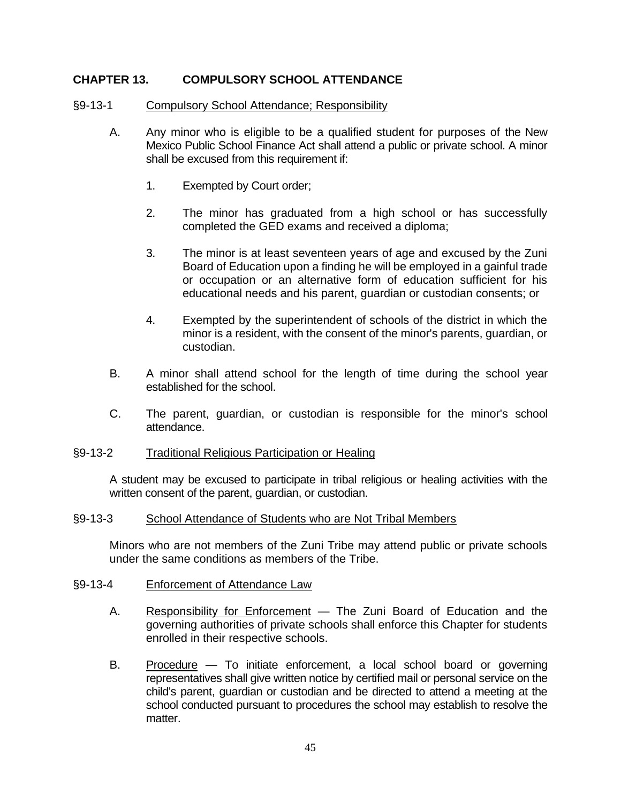## **CHAPTER 13. COMPULSORY SCHOOL ATTENDANCE**

#### §9-13-1 Compulsory School Attendance; Responsibility

- A. Any minor who is eligible to be a qualified student for purposes of the New Mexico Public School Finance Act shall attend a public or private school. A minor shall be excused from this requirement if:
	- 1. Exempted by Court order;
	- 2. The minor has graduated from a high school or has successfully completed the GED exams and received a diploma;
	- 3. The minor is at least seventeen years of age and excused by the Zuni Board of Education upon a finding he will be employed in a gainful trade or occupation or an alternative form of education sufficient for his educational needs and his parent, guardian or custodian consents; or
	- 4. Exempted by the superintendent of schools of the district in which the minor is a resident, with the consent of the minor's parents, guardian, or custodian.
- B. A minor shall attend school for the length of time during the school year established for the school.
- C. The parent, guardian, or custodian is responsible for the minor's school attendance.

#### §9-13-2 Traditional Religious Participation or Healing

A student may be excused to participate in tribal religious or healing activities with the written consent of the parent, guardian, or custodian.

#### §9-13-3 School Attendance of Students who are Not Tribal Members

Minors who are not members of the Zuni Tribe may attend public or private schools under the same conditions as members of the Tribe.

#### §9-13-4 Enforcement of Attendance Law

- A. Responsibility for Enforcement The Zuni Board of Education and the governing authorities of private schools shall enforce this Chapter for students enrolled in their respective schools.
- B. Procedure To initiate enforcement, a local school board or governing representatives shall give written notice by certified mail or personal service on the child's parent, guardian or custodian and be directed to attend a meeting at the school conducted pursuant to procedures the school may establish to resolve the matter.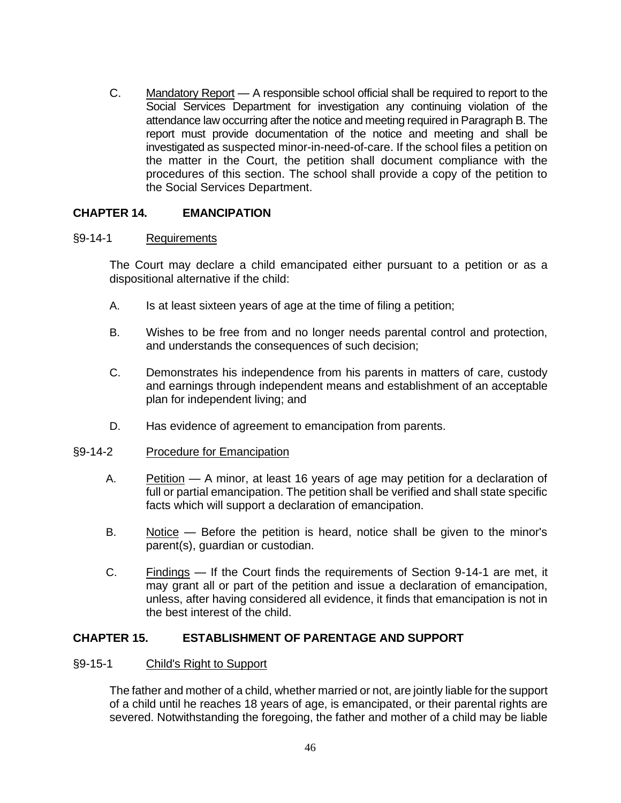C. Mandatory Report — A responsible school official shall be required to report to the Social Services Department for investigation any continuing violation of the attendance law occurring after the notice and meeting required in Paragraph B. The report must provide documentation of the notice and meeting and shall be investigated as suspected minor-in-need-of-care. If the school files a petition on the matter in the Court, the petition shall document compliance with the procedures of this section. The school shall provide a copy of the petition to the Social Services Department.

### **CHAPTER 14. EMANCIPATION**

#### §9-14-1 Requirements

The Court may declare a child emancipated either pursuant to a petition or as a dispositional alternative if the child:

- A. Is at least sixteen years of age at the time of filing a petition;
- B. Wishes to be free from and no longer needs parental control and protection, and understands the consequences of such decision;
- C. Demonstrates his independence from his parents in matters of care, custody and earnings through independent means and establishment of an acceptable plan for independent living; and
- D. Has evidence of agreement to emancipation from parents.

#### §9-14-2 Procedure for Emancipation

- A. Petition A minor, at least 16 years of age may petition for a declaration of full or partial emancipation. The petition shall be verified and shall state specific facts which will support a declaration of emancipation.
- B. Notice Before the petition is heard, notice shall be given to the minor's parent(s), guardian or custodian.
- C. Findings If the Court finds the requirements of Section 9-14-1 are met, it may grant all or part of the petition and issue a declaration of emancipation, unless, after having considered all evidence, it finds that emancipation is not in the best interest of the child.

#### **CHAPTER 15. ESTABLISHMENT OF PARENTAGE AND SUPPORT**

#### §9-15-1 Child's Right to Support

The father and mother of a child, whether married or not, are jointly liable for the support of a child until he reaches 18 years of age, is emancipated, or their parental rights are severed. Notwithstanding the foregoing, the father and mother of a child may be liable